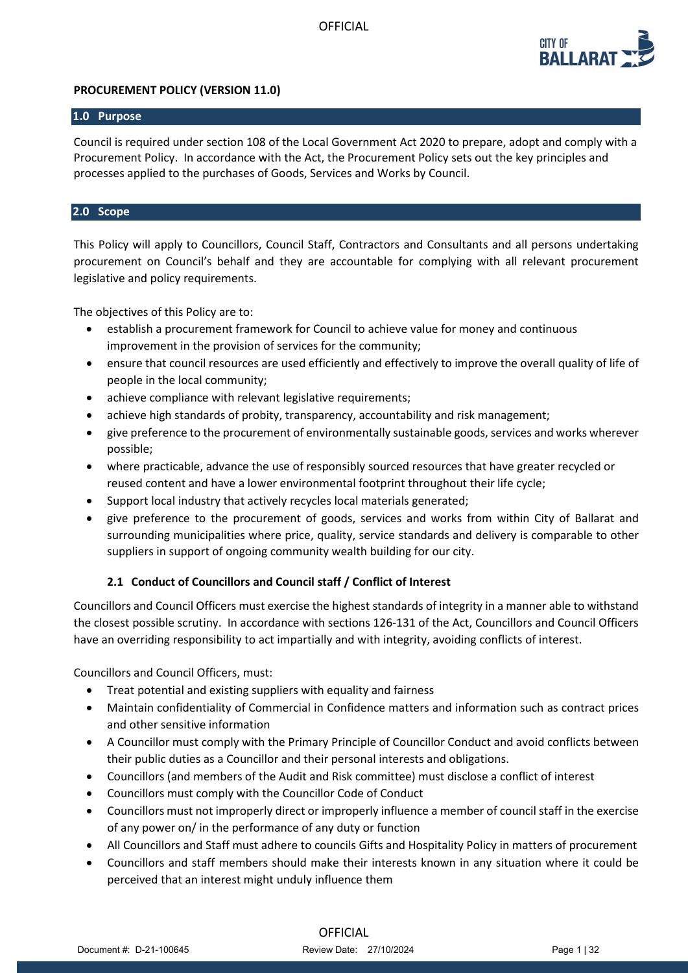

## **PROCUREMENT POLICY (VERSION 11.0)**

### **1.0 Purpose**

Council is required under section 108 of the Local Government Act 2020 to prepare, adopt and comply with a Procurement Policy. In accordance with the Act, the Procurement Policy sets out the key principles and processes applied to the purchases of Goods, Services and Works by Council.

## **2.0 Scope**

This Policy will apply to Councillors, Council Staff, Contractors and Consultants and all persons undertaking procurement on Council's behalf and they are accountable for complying with all relevant procurement legislative and policy requirements.

The objectives of this Policy are to:

- establish a procurement framework for Council to achieve value for money and continuous improvement in the provision of services for the community;
- ensure that council resources are used efficiently and effectively to improve the overall quality of life of people in the local community;
- achieve compliance with relevant legislative requirements;
- achieve high standards of probity, transparency, accountability and risk management;
- give preference to the procurement of environmentally sustainable goods, services and works wherever possible;
- where practicable, advance the use of responsibly sourced resources that have greater recycled or reused content and have a lower environmental footprint throughout their life cycle;
- Support local industry that actively recycles local materials generated;
- give preference to the procurement of goods, services and works from within City of Ballarat and surrounding municipalities where price, quality, service standards and delivery is comparable to other suppliers in support of ongoing community wealth building for our city.

## **2.1 Conduct of Councillors and Council staff / Conflict of Interest**

Councillors and Council Officers must exercise the highest standards of integrity in a manner able to withstand the closest possible scrutiny. In accordance with sections 126-131 of the Act, Councillors and Council Officers have an overriding responsibility to act impartially and with integrity, avoiding conflicts of interest.

Councillors and Council Officers, must:

- Treat potential and existing suppliers with equality and fairness
- Maintain confidentiality of Commercial in Confidence matters and information such as contract prices and other sensitive information
- A Councillor must comply with the Primary Principle of Councillor Conduct and avoid conflicts between their public duties as a Councillor and their personal interests and obligations.
- Councillors (and members of the Audit and Risk committee) must disclose a conflict of interest
- Councillors must comply with the Councillor Code of Conduct
- Councillors must not improperly direct or improperly influence a member of council staff in the exercise of any power on/ in the performance of any duty or function
- All Councillors and Staff must adhere to councils Gifts and Hospitality Policy in matters of procurement
- Councillors and staff members should make their interests known in any situation where it could be perceived that an interest might unduly influence them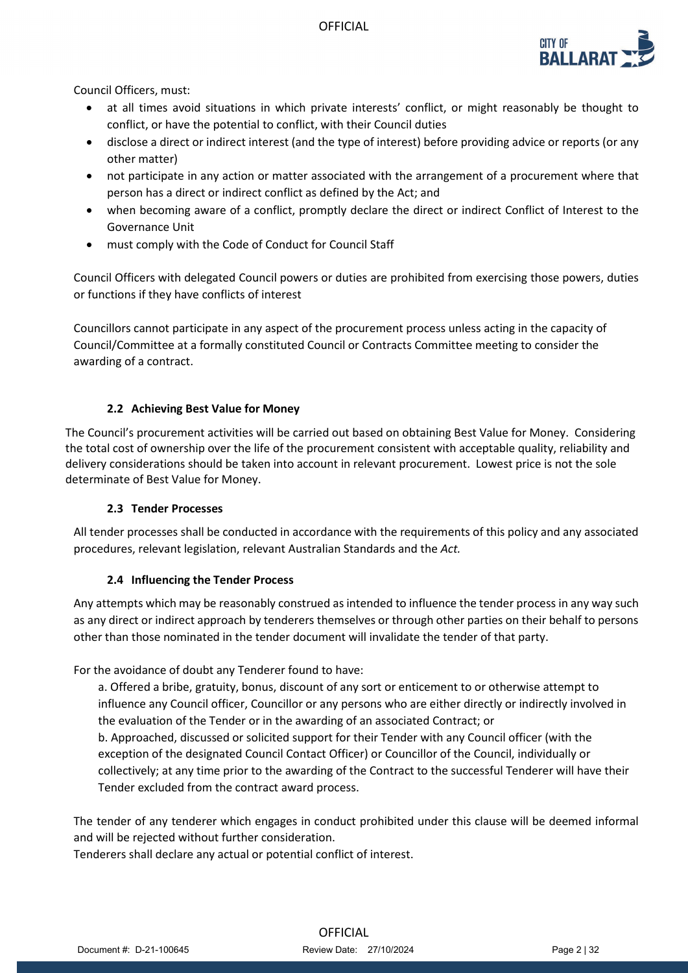

Council Officers, must:

- at all times avoid situations in which private interests' conflict, or might reasonably be thought to conflict, or have the potential to conflict, with their Council duties
- disclose a direct or indirect interest (and the type of interest) before providing advice or reports (or any other matter)
- not participate in any action or matter associated with the arrangement of a procurement where that person has a direct or indirect conflict as defined by the Act; and
- when becoming aware of a conflict, promptly declare the direct or indirect Conflict of Interest to the Governance Unit
- must comply with the Code of Conduct for Council Staff

Council Officers with delegated Council powers or duties are prohibited from exercising those powers, duties or functions if they have conflicts of interest

Councillors cannot participate in any aspect of the procurement process unless acting in the capacity of Council/Committee at a formally constituted Council or Contracts Committee meeting to consider the awarding of a contract.

### **2.2 Achieving Best Value for Money**

The Council's procurement activities will be carried out based on obtaining Best Value for Money. Considering the total cost of ownership over the life of the procurement consistent with acceptable quality, reliability and delivery considerations should be taken into account in relevant procurement. Lowest price is not the sole determinate of Best Value for Money.

### **2.3 Tender Processes**

All tender processes shall be conducted in accordance with the requirements of this policy and any associated procedures, relevant legislation, relevant Australian Standards and the *Act.*

## **2.4 Influencing the Tender Process**

Any attempts which may be reasonably construed as intended to influence the tender process in any way such as any direct or indirect approach by tenderers themselves or through other parties on their behalf to persons other than those nominated in the tender document will invalidate the tender of that party.

For the avoidance of doubt any Tenderer found to have:

a. Offered a bribe, gratuity, bonus, discount of any sort or enticement to or otherwise attempt to influence any Council officer, Councillor or any persons who are either directly or indirectly involved in the evaluation of the Tender or in the awarding of an associated Contract; or

b. Approached, discussed or solicited support for their Tender with any Council officer (with the exception of the designated Council Contact Officer) or Councillor of the Council, individually or collectively; at any time prior to the awarding of the Contract to the successful Tenderer will have their Tender excluded from the contract award process.

The tender of any tenderer which engages in conduct prohibited under this clause will be deemed informal and will be rejected without further consideration.

Tenderers shall declare any actual or potential conflict of interest.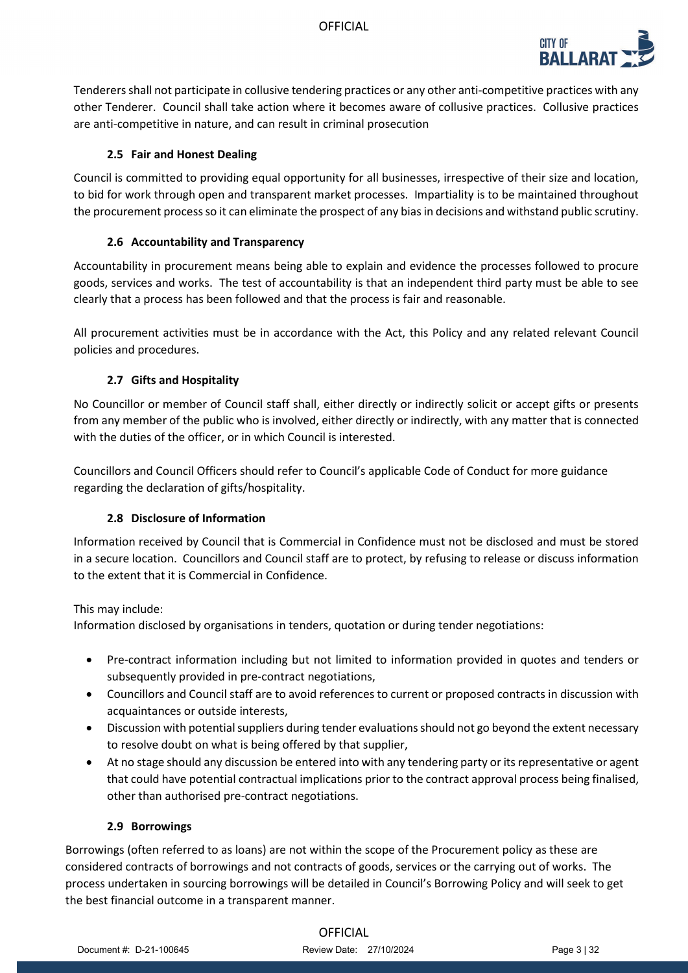

Tenderers shall not participate in collusive tendering practices or any other anti-competitive practices with any other Tenderer. Council shall take action where it becomes aware of collusive practices. Collusive practices are anti-competitive in nature, and can result in criminal prosecution

## **2.5 Fair and Honest Dealing**

Council is committed to providing equal opportunity for all businesses, irrespective of their size and location, to bid for work through open and transparent market processes. Impartiality is to be maintained throughout the procurement process so it can eliminate the prospect of any bias in decisions and withstand public scrutiny.

### **2.6 Accountability and Transparency**

Accountability in procurement means being able to explain and evidence the processes followed to procure goods, services and works. The test of accountability is that an independent third party must be able to see clearly that a process has been followed and that the process is fair and reasonable.

All procurement activities must be in accordance with the Act, this Policy and any related relevant Council policies and procedures.

## **2.7 Gifts and Hospitality**

No Councillor or member of Council staff shall, either directly or indirectly solicit or accept gifts or presents from any member of the public who is involved, either directly or indirectly, with any matter that is connected with the duties of the officer, or in which Council is interested.

Councillors and Council Officers should refer to Council's applicable Code of Conduct for more guidance regarding the declaration of gifts/hospitality.

### **2.8 Disclosure of Information**

Information received by Council that is Commercial in Confidence must not be disclosed and must be stored in a secure location. Councillors and Council staff are to protect, by refusing to release or discuss information to the extent that it is Commercial in Confidence.

### This may include:

Information disclosed by organisations in tenders, quotation or during tender negotiations:

- Pre-contract information including but not limited to information provided in quotes and tenders or subsequently provided in pre-contract negotiations,
- Councillors and Council staff are to avoid references to current or proposed contracts in discussion with acquaintances or outside interests,
- Discussion with potential suppliers during tender evaluationsshould not go beyond the extent necessary to resolve doubt on what is being offered by that supplier,
- At no stage should any discussion be entered into with any tendering party or its representative or agent that could have potential contractual implications prior to the contract approval process being finalised, other than authorised pre-contract negotiations.

### **2.9 Borrowings**

Borrowings (often referred to as loans) are not within the scope of the Procurement policy as these are considered contracts of borrowings and not contracts of goods, services or the carrying out of works. The process undertaken in sourcing borrowings will be detailed in Council's Borrowing Policy and will seek to get the best financial outcome in a transparent manner.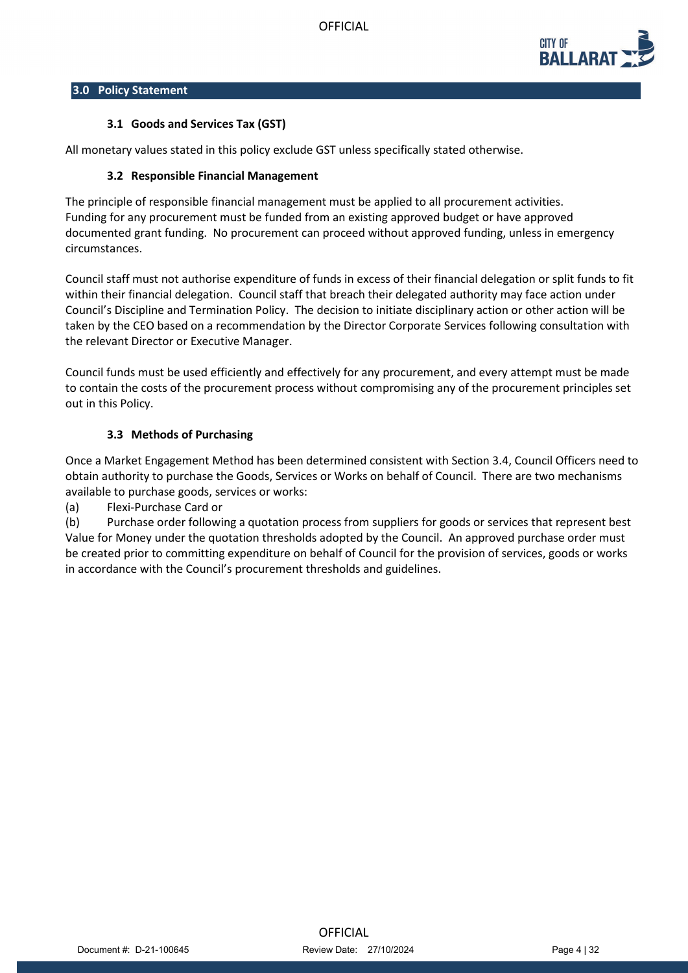

### **3.0 Policy Statement**

### **3.1 Goods and Services Tax (GST)**

All monetary values stated in this policy exclude GST unless specifically stated otherwise.

### **3.2 Responsible Financial Management**

The principle of responsible financial management must be applied to all procurement activities. Funding for any procurement must be funded from an existing approved budget or have approved documented grant funding. No procurement can proceed without approved funding, unless in emergency circumstances.

Council staff must not authorise expenditure of funds in excess of their financial delegation or split funds to fit within their financial delegation. Council staff that breach their delegated authority may face action under Council's Discipline and Termination Policy. The decision to initiate disciplinary action or other action will be taken by the CEO based on a recommendation by the Director Corporate Services following consultation with the relevant Director or Executive Manager.

Council funds must be used efficiently and effectively for any procurement, and every attempt must be made to contain the costs of the procurement process without compromising any of the procurement principles set out in this Policy.

### **3.3 Methods of Purchasing**

Once a Market Engagement Method has been determined consistent with Section 3.4, Council Officers need to obtain authority to purchase the Goods, Services or Works on behalf of Council. There are two mechanisms available to purchase goods, services or works:

(a) Flexi-Purchase Card or

(b) Purchase order following a quotation process from suppliers for goods or services that represent best Value for Money under the quotation thresholds adopted by the Council. An approved purchase order must be created prior to committing expenditure on behalf of Council for the provision of services, goods or works in accordance with the Council's procurement thresholds and guidelines.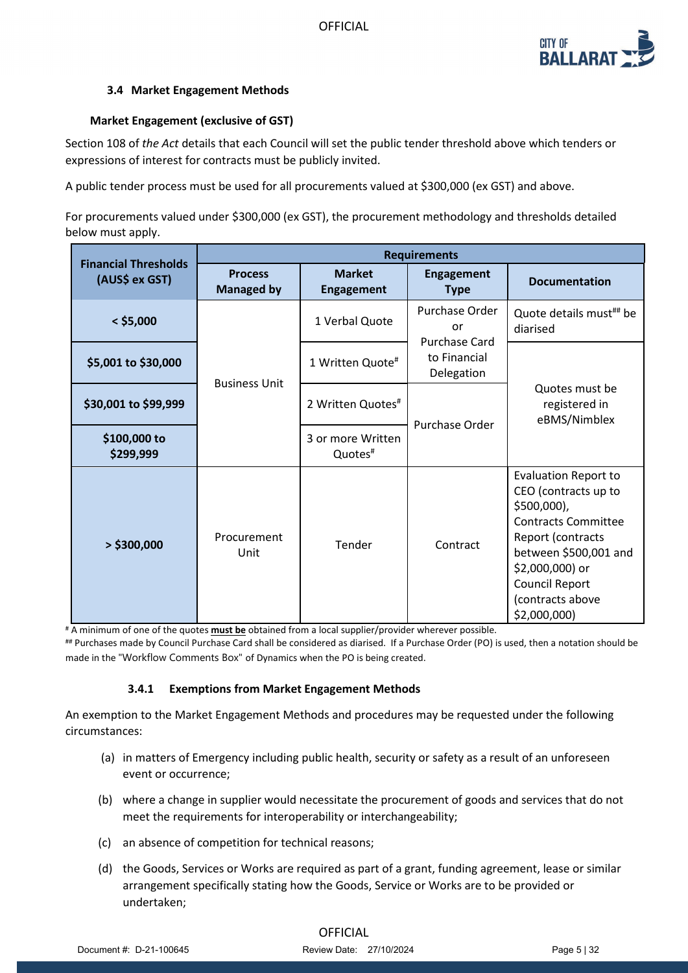

## **3.4 Market Engagement Methods**

### **Market Engagement (exclusive of GST)**

Section 108 of *the Act* details that each Council will set the public tender threshold above which tenders or expressions of interest for contracts must be publicly invited.

A public tender process must be used for all procurements valued at \$300,000 (ex GST) and above.

For procurements valued under \$300,000 (ex GST), the procurement methodology and thresholds detailed below must apply.

|                                               | <b>Requirements</b>                 |                                          |                                                                     |                                                                                                                                                                                                                                  |
|-----------------------------------------------|-------------------------------------|------------------------------------------|---------------------------------------------------------------------|----------------------------------------------------------------------------------------------------------------------------------------------------------------------------------------------------------------------------------|
| <b>Financial Thresholds</b><br>(AUS\$ ex GST) | <b>Process</b><br><b>Managed by</b> | <b>Market</b><br><b>Engagement</b>       | <b>Engagement</b><br><b>Type</b>                                    | <b>Documentation</b>                                                                                                                                                                                                             |
| $<$ \$5,000                                   | <b>Business Unit</b>                | 1 Verbal Quote                           | Purchase Order<br>or<br>Purchase Card<br>to Financial<br>Delegation | Quote details must <sup>##</sup> be<br>diarised                                                                                                                                                                                  |
| \$5,001 to \$30,000                           |                                     | 1 Written Quote#                         |                                                                     | Quotes must be<br>registered in<br>eBMS/Nimblex                                                                                                                                                                                  |
| \$30,001 to \$99,999                          |                                     | 2 Written Quotes#                        | Purchase Order                                                      |                                                                                                                                                                                                                                  |
| \$100,000 to<br>\$299,999                     |                                     | 3 or more Written<br>Quotes <sup>#</sup> |                                                                     |                                                                                                                                                                                                                                  |
| $>$ \$300,000                                 | Procurement<br>Unit                 | Tender                                   | Contract                                                            | <b>Evaluation Report to</b><br>CEO (contracts up to<br>$$500,000$ ),<br><b>Contracts Committee</b><br>Report (contracts<br>between \$500,001 and<br>\$2,000,000) or<br><b>Council Report</b><br>(contracts above<br>\$2,000,000) |

# A minimum of one of the quotes **must be** obtained from a local supplier/provider wherever possible.

## Purchases made by Council Purchase Card shall be considered as diarised. If a Purchase Order (PO) is used, then a notation should be made in the "Workflow Comments Box" of Dynamics when the PO is being created.

### **3.4.1 Exemptions from Market Engagement Methods**

An exemption to the Market Engagement Methods and procedures may be requested under the following circumstances:

- (a) in matters of Emergency including public health, security or safety as a result of an unforeseen event or occurrence;
- (b) where a change in supplier would necessitate the procurement of goods and services that do not meet the requirements for interoperability or interchangeability;
- (c) an absence of competition for technical reasons;
- (d) the Goods, Services or Works are required as part of a grant, funding agreement, lease or similar arrangement specifically stating how the Goods, Service or Works are to be provided or undertaken;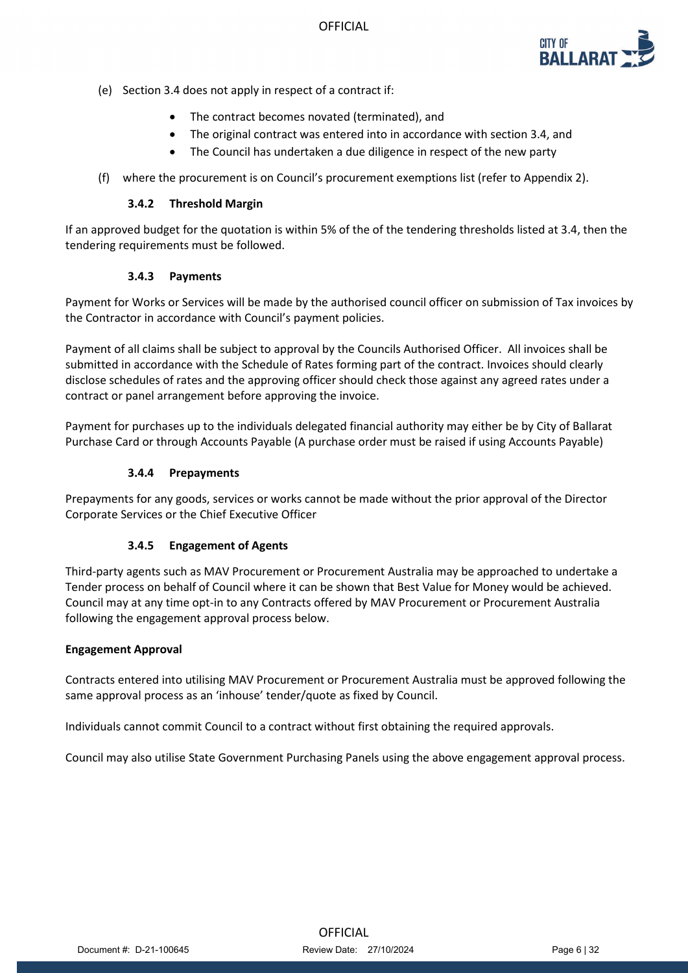

- (e) Section 3.4 does not apply in respect of a contract if:
	- The contract becomes novated (terminated), and
	- The original contract was entered into in accordance with section 3.4, and
	- The Council has undertaken a due diligence in respect of the new party
- (f) where the procurement is on Council's procurement exemptions list (refer to Appendix 2).

#### **3.4.2 Threshold Margin**

If an approved budget for the quotation is within 5% of the of the tendering thresholds listed at 3.4, then the tendering requirements must be followed.

### **3.4.3 Payments**

Payment for Works or Services will be made by the authorised council officer on submission of Tax invoices by the Contractor in accordance with Council's payment policies.

Payment of all claims shall be subject to approval by the Councils Authorised Officer. All invoices shall be submitted in accordance with the Schedule of Rates forming part of the contract. Invoices should clearly disclose schedules of rates and the approving officer should check those against any agreed rates under a contract or panel arrangement before approving the invoice.

Payment for purchases up to the individuals delegated financial authority may either be by City of Ballarat Purchase Card or through Accounts Payable (A purchase order must be raised if using Accounts Payable)

### **3.4.4 Prepayments**

Prepayments for any goods, services or works cannot be made without the prior approval of the Director Corporate Services or the Chief Executive Officer

### **3.4.5 Engagement of Agents**

Third-party agents such as MAV Procurement or Procurement Australia may be approached to undertake a Tender process on behalf of Council where it can be shown that Best Value for Money would be achieved. Council may at any time opt-in to any Contracts offered by MAV Procurement or Procurement Australia following the engagement approval process below.

### **Engagement Approval**

Contracts entered into utilising MAV Procurement or Procurement Australia must be approved following the same approval process as an 'inhouse' tender/quote as fixed by Council.

Individuals cannot commit Council to a contract without first obtaining the required approvals.

Council may also utilise State Government Purchasing Panels using the above engagement approval process.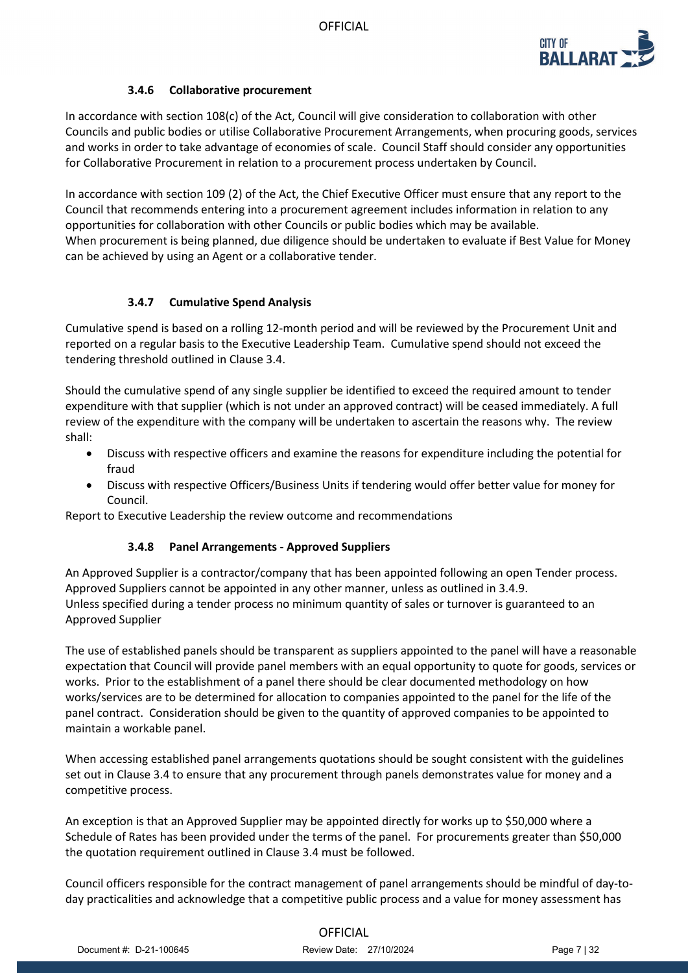

## **3.4.6 Collaborative procurement**

In accordance with section 108(c) of the Act, Council will give consideration to collaboration with other Councils and public bodies or utilise Collaborative Procurement Arrangements, when procuring goods, services and works in order to take advantage of economies of scale. Council Staff should consider any opportunities for Collaborative Procurement in relation to a procurement process undertaken by Council.

In accordance with section 109 (2) of the Act, the Chief Executive Officer must ensure that any report to the Council that recommends entering into a procurement agreement includes information in relation to any opportunities for collaboration with other Councils or public bodies which may be available. When procurement is being planned, due diligence should be undertaken to evaluate if Best Value for Money can be achieved by using an Agent or a collaborative tender.

### **3.4.7 Cumulative Spend Analysis**

Cumulative spend is based on a rolling 12-month period and will be reviewed by the Procurement Unit and reported on a regular basis to the Executive Leadership Team. Cumulative spend should not exceed the tendering threshold outlined in Clause 3.4.

Should the cumulative spend of any single supplier be identified to exceed the required amount to tender expenditure with that supplier (which is not under an approved contract) will be ceased immediately. A full review of the expenditure with the company will be undertaken to ascertain the reasons why. The review shall:

- Discuss with respective officers and examine the reasons for expenditure including the potential for fraud
- Discuss with respective Officers/Business Units if tendering would offer better value for money for Council.

Report to Executive Leadership the review outcome and recommendations

### **3.4.8 Panel Arrangements - Approved Suppliers**

An Approved Supplier is a contractor/company that has been appointed following an open Tender process. Approved Suppliers cannot be appointed in any other manner, unless as outlined in 3.4.9. Unless specified during a tender process no minimum quantity of sales or turnover is guaranteed to an Approved Supplier

The use of established panels should be transparent as suppliers appointed to the panel will have a reasonable expectation that Council will provide panel members with an equal opportunity to quote for goods, services or works. Prior to the establishment of a panel there should be clear documented methodology on how works/services are to be determined for allocation to companies appointed to the panel for the life of the panel contract. Consideration should be given to the quantity of approved companies to be appointed to maintain a workable panel.

When accessing established panel arrangements quotations should be sought consistent with the guidelines set out in Clause 3.4 to ensure that any procurement through panels demonstrates value for money and a competitive process.

An exception is that an Approved Supplier may be appointed directly for works up to \$50,000 where a Schedule of Rates has been provided under the terms of the panel. For procurements greater than \$50,000 the quotation requirement outlined in Clause 3.4 must be followed.

Council officers responsible for the contract management of panel arrangements should be mindful of day-today practicalities and acknowledge that a competitive public process and a value for money assessment has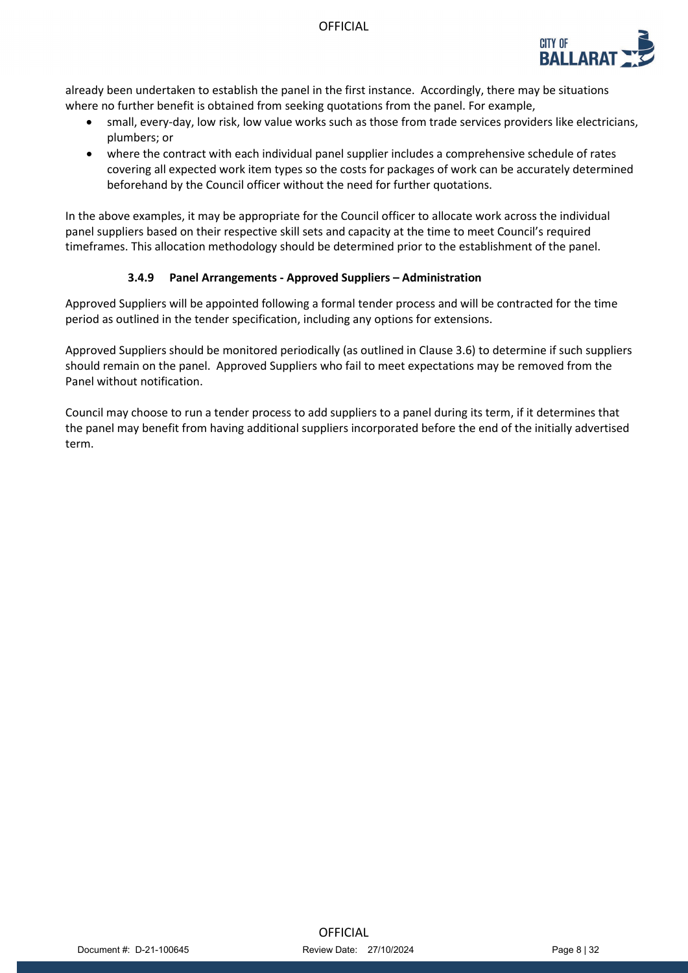

already been undertaken to establish the panel in the first instance. Accordingly, there may be situations where no further benefit is obtained from seeking quotations from the panel. For example,

- small, every-day, low risk, low value works such as those from trade services providers like electricians, plumbers; or
- where the contract with each individual panel supplier includes a comprehensive schedule of rates covering all expected work item types so the costs for packages of work can be accurately determined beforehand by the Council officer without the need for further quotations.

In the above examples, it may be appropriate for the Council officer to allocate work across the individual panel suppliers based on their respective skill sets and capacity at the time to meet Council's required timeframes. This allocation methodology should be determined prior to the establishment of the panel.

### **3.4.9 Panel Arrangements - Approved Suppliers – Administration**

Approved Suppliers will be appointed following a formal tender process and will be contracted for the time period as outlined in the tender specification, including any options for extensions.

Approved Suppliers should be monitored periodically (as outlined in Clause 3.6) to determine if such suppliers should remain on the panel. Approved Suppliers who fail to meet expectations may be removed from the Panel without notification.

Council may choose to run a tender process to add suppliers to a panel during its term, if it determines that the panel may benefit from having additional suppliers incorporated before the end of the initially advertised term.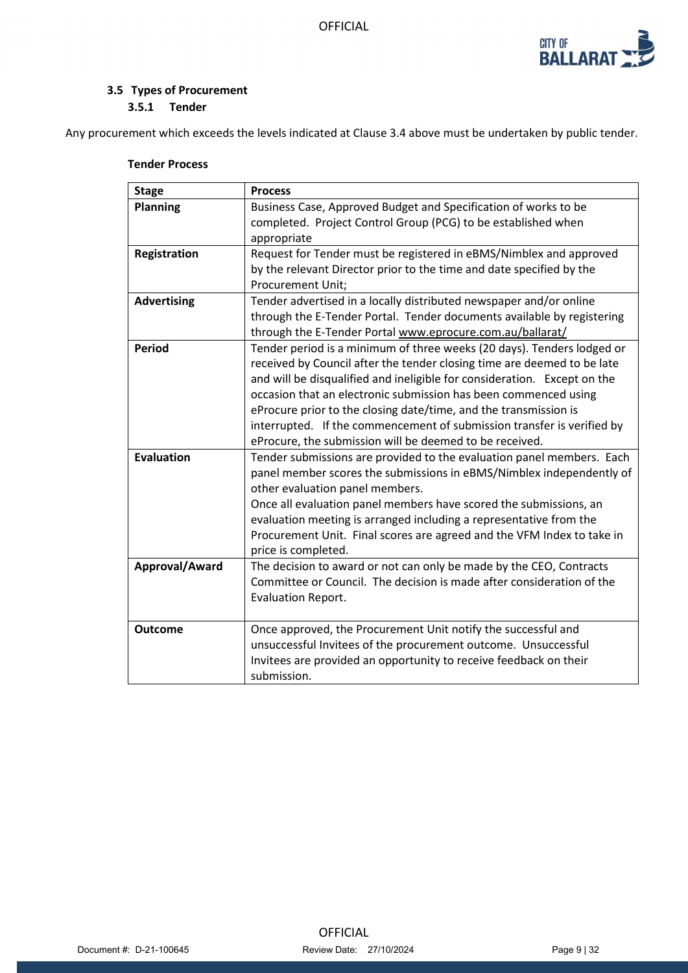

## **3.5 Types of Procurement 3.5.1 Tender**

Any procurement which exceeds the levels indicated at Clause 3.4 above must be undertaken by public tender.

| <b>Stage</b>        | <b>Process</b>                                                                             |
|---------------------|--------------------------------------------------------------------------------------------|
| <b>Planning</b>     | Business Case, Approved Budget and Specification of works to be                            |
|                     | completed. Project Control Group (PCG) to be established when                              |
|                     | appropriate                                                                                |
| <b>Registration</b> | Request for Tender must be registered in eBMS/Nimblex and approved                         |
|                     | by the relevant Director prior to the time and date specified by the                       |
|                     | <b>Procurement Unit;</b>                                                                   |
| <b>Advertising</b>  | Tender advertised in a locally distributed newspaper and/or online                         |
|                     | through the E-Tender Portal. Tender documents available by registering                     |
|                     | through the E-Tender Portal www.eprocure.com.au/ballarat/                                  |
| <b>Period</b>       | Tender period is a minimum of three weeks (20 days). Tenders lodged or                     |
|                     | received by Council after the tender closing time are deemed to be late                    |
|                     | and will be disqualified and ineligible for consideration. Except on the                   |
|                     | occasion that an electronic submission has been commenced using                            |
|                     | eProcure prior to the closing date/time, and the transmission is                           |
|                     | interrupted. If the commencement of submission transfer is verified by                     |
|                     | eProcure, the submission will be deemed to be received.                                    |
| <b>Evaluation</b>   | Tender submissions are provided to the evaluation panel members. Each                      |
|                     | panel member scores the submissions in eBMS/Nimblex independently of                       |
|                     | other evaluation panel members.                                                            |
|                     | Once all evaluation panel members have scored the submissions, an                          |
|                     | evaluation meeting is arranged including a representative from the                         |
|                     | Procurement Unit. Final scores are agreed and the VFM Index to take in                     |
| Approval/Award      | price is completed.<br>The decision to award or not can only be made by the CEO, Contracts |
|                     | Committee or Council. The decision is made after consideration of the                      |
|                     | <b>Evaluation Report.</b>                                                                  |
|                     |                                                                                            |
| <b>Outcome</b>      | Once approved, the Procurement Unit notify the successful and                              |
|                     | unsuccessful Invitees of the procurement outcome. Unsuccessful                             |
|                     | Invitees are provided an opportunity to receive feedback on their                          |
|                     | submission.                                                                                |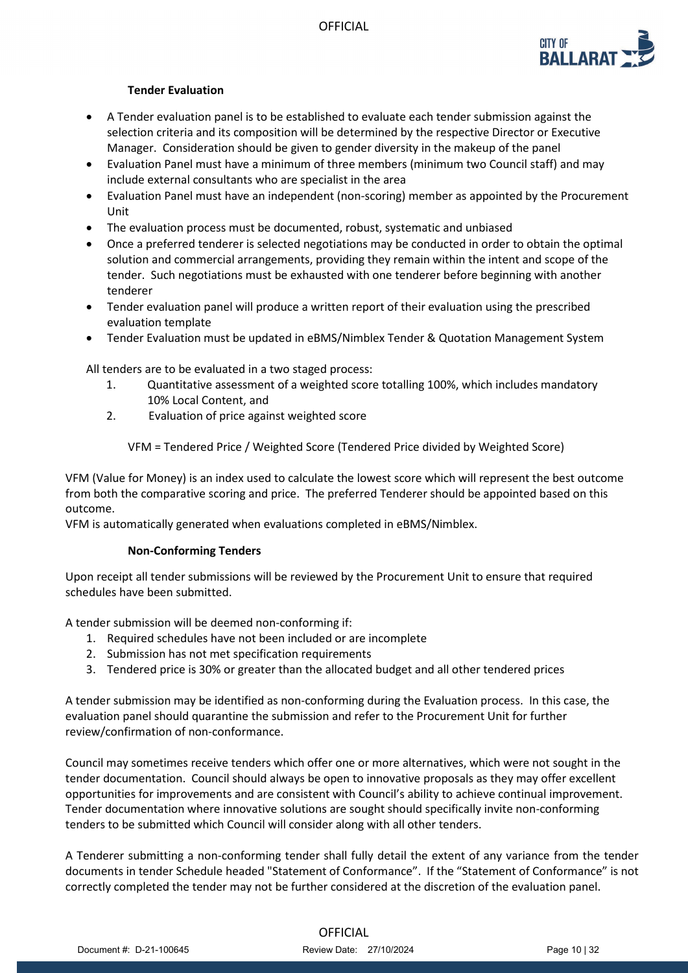

### **Tender Evaluation**

- A Tender evaluation panel is to be established to evaluate each tender submission against the selection criteria and its composition will be determined by the respective Director or Executive Manager. Consideration should be given to gender diversity in the makeup of the panel
- Evaluation Panel must have a minimum of three members (minimum two Council staff) and may include external consultants who are specialist in the area
- Evaluation Panel must have an independent (non-scoring) member as appointed by the Procurement Unit
- The evaluation process must be documented, robust, systematic and unbiased
- Once a preferred tenderer is selected negotiations may be conducted in order to obtain the optimal solution and commercial arrangements, providing they remain within the intent and scope of the tender. Such negotiations must be exhausted with one tenderer before beginning with another tenderer
- Tender evaluation panel will produce a written report of their evaluation using the prescribed evaluation template
- Tender Evaluation must be updated in eBMS/Nimblex Tender & Quotation Management System

All tenders are to be evaluated in a two staged process:

- 1. Quantitative assessment of a weighted score totalling 100%, which includes mandatory 10% Local Content, and
- 2. Evaluation of price against weighted score

VFM = Tendered Price / Weighted Score (Tendered Price divided by Weighted Score)

VFM (Value for Money) is an index used to calculate the lowest score which will represent the best outcome from both the comparative scoring and price. The preferred Tenderer should be appointed based on this outcome.

VFM is automatically generated when evaluations completed in eBMS/Nimblex.

### **Non-Conforming Tenders**

Upon receipt all tender submissions will be reviewed by the Procurement Unit to ensure that required schedules have been submitted.

A tender submission will be deemed non-conforming if:

- 1. Required schedules have not been included or are incomplete
- 2. Submission has not met specification requirements
- 3. Tendered price is 30% or greater than the allocated budget and all other tendered prices

A tender submission may be identified as non-conforming during the Evaluation process. In this case, the evaluation panel should quarantine the submission and refer to the Procurement Unit for further review/confirmation of non-conformance.

Council may sometimes receive tenders which offer one or more alternatives, which were not sought in the tender documentation. Council should always be open to innovative proposals as they may offer excellent opportunities for improvements and are consistent with Council's ability to achieve continual improvement. Tender documentation where innovative solutions are sought should specifically invite non-conforming tenders to be submitted which Council will consider along with all other tenders.

A Tenderer submitting a non-conforming tender shall fully detail the extent of any variance from the tender documents in tender Schedule headed "Statement of Conformance". If the "Statement of Conformance" is not correctly completed the tender may not be further considered at the discretion of the evaluation panel.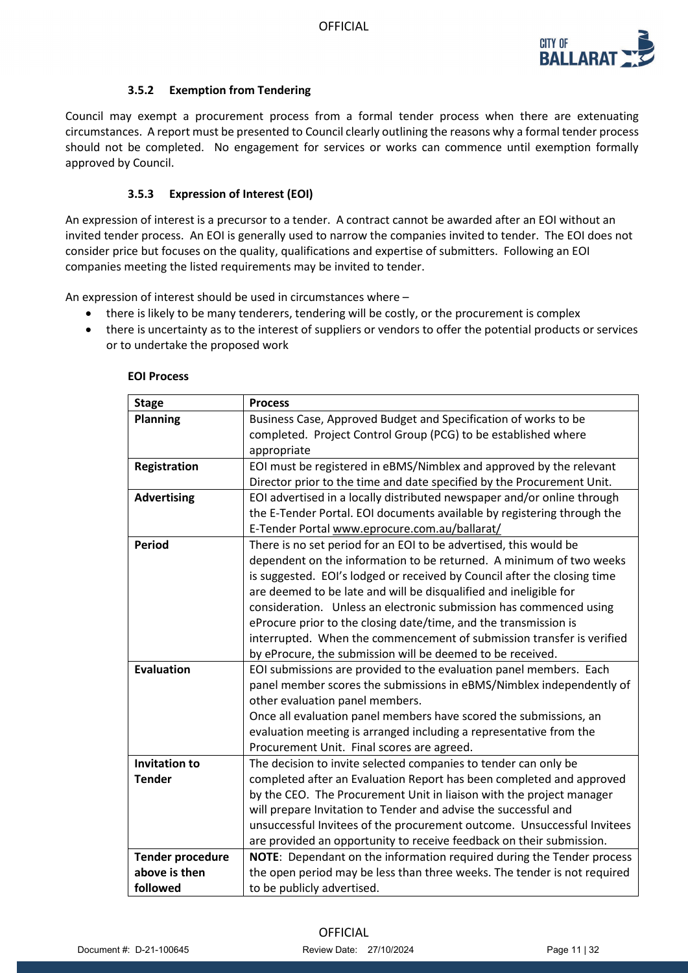

## **3.5.2 Exemption from Tendering**

Council may exempt a procurement process from a formal tender process when there are extenuating circumstances. A report must be presented to Council clearly outlining the reasons why a formal tender process should not be completed. No engagement for services or works can commence until exemption formally approved by Council.

### **3.5.3 Expression of Interest (EOI)**

An expression of interest is a precursor to a tender. A contract cannot be awarded after an EOI without an invited tender process. An EOI is generally used to narrow the companies invited to tender. The EOI does not consider price but focuses on the quality, qualifications and expertise of submitters. Following an EOI companies meeting the listed requirements may be invited to tender.

An expression of interest should be used in circumstances where –

- there is likely to be many tenderers, tendering will be costly, or the procurement is complex
- there is uncertainty as to the interest of suppliers or vendors to offer the potential products or services or to undertake the proposed work

| <b>Stage</b>            | <b>Process</b>                                                           |
|-------------------------|--------------------------------------------------------------------------|
| <b>Planning</b>         | Business Case, Approved Budget and Specification of works to be          |
|                         | completed. Project Control Group (PCG) to be established where           |
|                         | appropriate                                                              |
| Registration            | EOI must be registered in eBMS/Nimblex and approved by the relevant      |
|                         | Director prior to the time and date specified by the Procurement Unit.   |
| <b>Advertising</b>      | EOI advertised in a locally distributed newspaper and/or online through  |
|                         | the E-Tender Portal. EOI documents available by registering through the  |
|                         | E-Tender Portal www.eprocure.com.au/ballarat/                            |
| <b>Period</b>           | There is no set period for an EOI to be advertised, this would be        |
|                         | dependent on the information to be returned. A minimum of two weeks      |
|                         | is suggested. EOI's lodged or received by Council after the closing time |
|                         | are deemed to be late and will be disqualified and ineligible for        |
|                         | consideration. Unless an electronic submission has commenced using       |
|                         | eProcure prior to the closing date/time, and the transmission is         |
|                         | interrupted. When the commencement of submission transfer is verified    |
|                         | by eProcure, the submission will be deemed to be received.               |
| <b>Evaluation</b>       | EOI submissions are provided to the evaluation panel members. Each       |
|                         | panel member scores the submissions in eBMS/Nimblex independently of     |
|                         | other evaluation panel members.                                          |
|                         | Once all evaluation panel members have scored the submissions, an        |
|                         | evaluation meeting is arranged including a representative from the       |
|                         | Procurement Unit. Final scores are agreed.                               |
| <b>Invitation to</b>    | The decision to invite selected companies to tender can only be          |
| <b>Tender</b>           | completed after an Evaluation Report has been completed and approved     |
|                         | by the CEO. The Procurement Unit in liaison with the project manager     |
|                         | will prepare Invitation to Tender and advise the successful and          |
|                         | unsuccessful Invitees of the procurement outcome. Unsuccessful Invitees  |
|                         | are provided an opportunity to receive feedback on their submission.     |
| <b>Tender procedure</b> | NOTE: Dependant on the information required during the Tender process    |
| above is then           | the open period may be less than three weeks. The tender is not required |
| followed                | to be publicly advertised.                                               |

#### **EOI Process**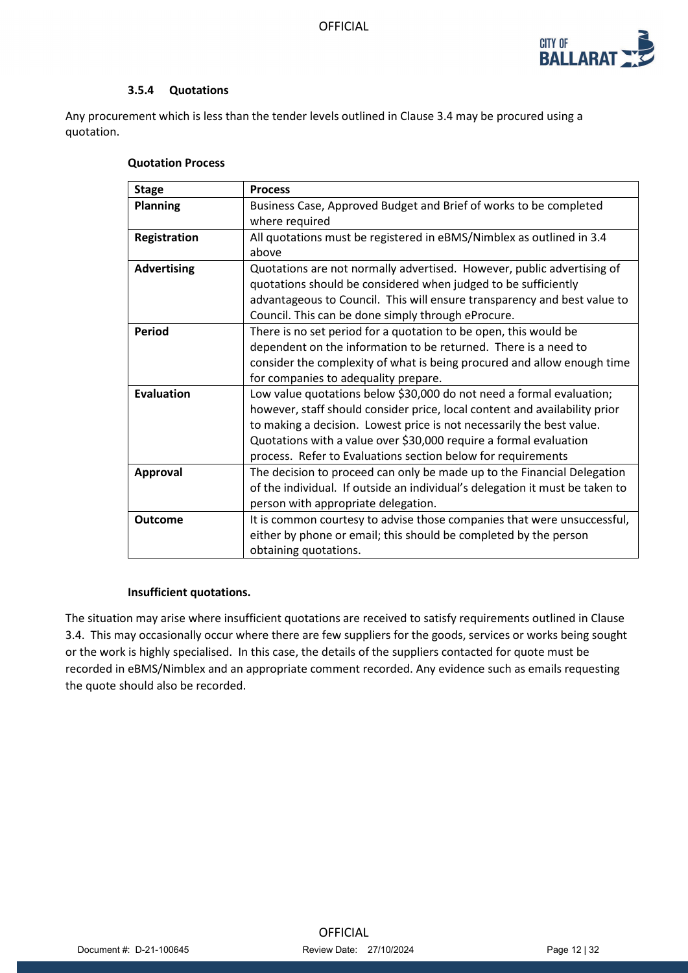

### **3.5.4 Quotations**

Any procurement which is less than the tender levels outlined in Clause 3.4 may be procured using a quotation.

### **Quotation Process**

| <b>Stage</b>        | <b>Process</b>                                                               |
|---------------------|------------------------------------------------------------------------------|
| <b>Planning</b>     | Business Case, Approved Budget and Brief of works to be completed            |
|                     | where required                                                               |
| <b>Registration</b> | All quotations must be registered in eBMS/Nimblex as outlined in 3.4         |
|                     | above                                                                        |
| <b>Advertising</b>  | Quotations are not normally advertised. However, public advertising of       |
|                     | quotations should be considered when judged to be sufficiently               |
|                     | advantageous to Council. This will ensure transparency and best value to     |
|                     | Council. This can be done simply through eProcure.                           |
| Period              | There is no set period for a quotation to be open, this would be             |
|                     | dependent on the information to be returned. There is a need to              |
|                     | consider the complexity of what is being procured and allow enough time      |
|                     | for companies to adequality prepare.                                         |
| Evaluation          | Low value quotations below \$30,000 do not need a formal evaluation;         |
|                     | however, staff should consider price, local content and availability prior   |
|                     | to making a decision. Lowest price is not necessarily the best value.        |
|                     | Quotations with a value over \$30,000 require a formal evaluation            |
|                     | process. Refer to Evaluations section below for requirements                 |
| Approval            | The decision to proceed can only be made up to the Financial Delegation      |
|                     | of the individual. If outside an individual's delegation it must be taken to |
|                     | person with appropriate delegation.                                          |
| <b>Outcome</b>      | It is common courtesy to advise those companies that were unsuccessful,      |
|                     | either by phone or email; this should be completed by the person             |
|                     | obtaining quotations.                                                        |

### **Insufficient quotations.**

The situation may arise where insufficient quotations are received to satisfy requirements outlined in Clause 3.4. This may occasionally occur where there are few suppliers for the goods, services or works being sought or the work is highly specialised. In this case, the details of the suppliers contacted for quote must be recorded in eBMS/Nimblex and an appropriate comment recorded. Any evidence such as emails requesting the quote should also be recorded.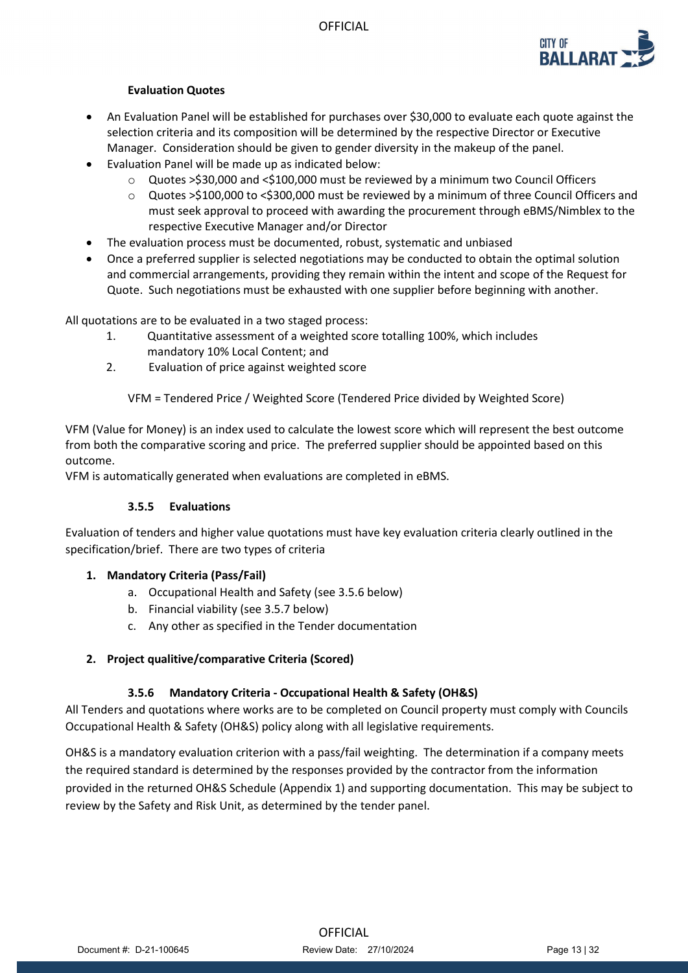

## **Evaluation Quotes**

- An Evaluation Panel will be established for purchases over \$30,000 to evaluate each quote against the selection criteria and its composition will be determined by the respective Director or Executive Manager. Consideration should be given to gender diversity in the makeup of the panel.
- Evaluation Panel will be made up as indicated below:
	- o Quotes >\$30,000 and <\$100,000 must be reviewed by a minimum two Council Officers
	- o Quotes >\$100,000 to <\$300,000 must be reviewed by a minimum of three Council Officers and must seek approval to proceed with awarding the procurement through eBMS/Nimblex to the respective Executive Manager and/or Director
- The evaluation process must be documented, robust, systematic and unbiased
- Once a preferred supplier is selected negotiations may be conducted to obtain the optimal solution and commercial arrangements, providing they remain within the intent and scope of the Request for Quote. Such negotiations must be exhausted with one supplier before beginning with another.

All quotations are to be evaluated in a two staged process:

- 1. Quantitative assessment of a weighted score totalling 100%, which includes mandatory 10% Local Content; and
- 2. Evaluation of price against weighted score

VFM = Tendered Price / Weighted Score (Tendered Price divided by Weighted Score)

VFM (Value for Money) is an index used to calculate the lowest score which will represent the best outcome from both the comparative scoring and price. The preferred supplier should be appointed based on this outcome.

VFM is automatically generated when evaluations are completed in eBMS.

## **3.5.5 Evaluations**

Evaluation of tenders and higher value quotations must have key evaluation criteria clearly outlined in the specification/brief. There are two types of criteria

## **1. Mandatory Criteria (Pass/Fail)**

- a. Occupational Health and Safety (see 3.5.6 below)
- b. Financial viability (see 3.5.7 below)
- c. Any other as specified in the Tender documentation

## **2. Project qualitive/comparative Criteria (Scored)**

## **3.5.6 Mandatory Criteria - Occupational Health & Safety (OH&S)**

All Tenders and quotations where works are to be completed on Council property must comply with Councils Occupational Health & Safety (OH&S) policy along with all legislative requirements.

OH&S is a mandatory evaluation criterion with a pass/fail weighting. The determination if a company meets the required standard is determined by the responses provided by the contractor from the information provided in the returned OH&S Schedule (Appendix 1) and supporting documentation. This may be subject to review by the Safety and Risk Unit, as determined by the tender panel.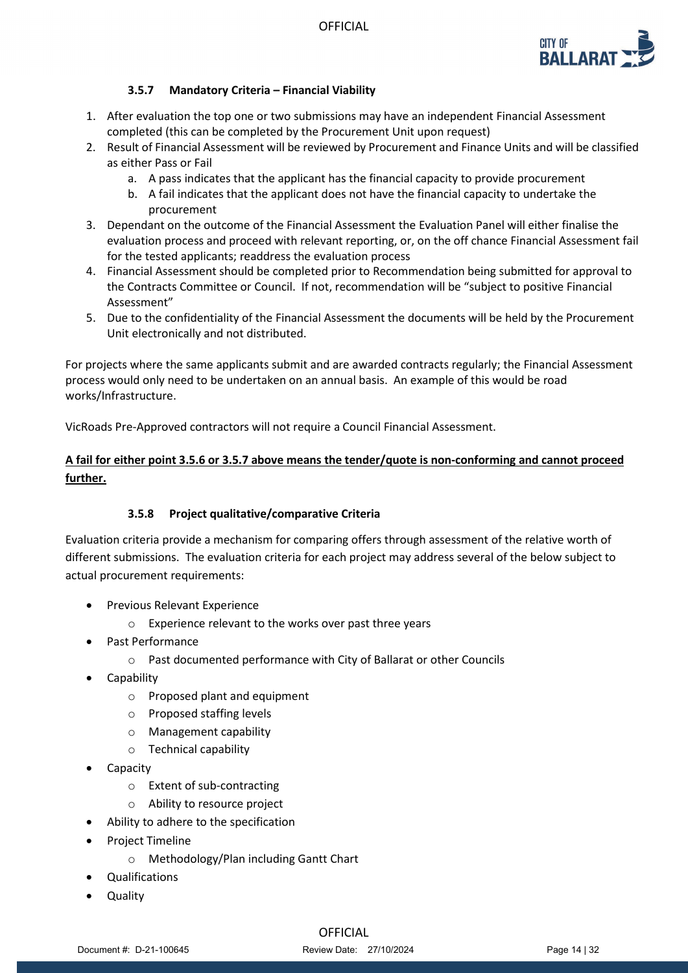

## **3.5.7 Mandatory Criteria – Financial Viability**

- 1. After evaluation the top one or two submissions may have an independent Financial Assessment completed (this can be completed by the Procurement Unit upon request)
- 2. Result of Financial Assessment will be reviewed by Procurement and Finance Units and will be classified as either Pass or Fail
	- a. A pass indicates that the applicant has the financial capacity to provide procurement
	- b. A fail indicates that the applicant does not have the financial capacity to undertake the procurement
- 3. Dependant on the outcome of the Financial Assessment the Evaluation Panel will either finalise the evaluation process and proceed with relevant reporting, or, on the off chance Financial Assessment fail for the tested applicants; readdress the evaluation process
- 4. Financial Assessment should be completed prior to Recommendation being submitted for approval to the Contracts Committee or Council. If not, recommendation will be "subject to positive Financial Assessment"
- 5. Due to the confidentiality of the Financial Assessment the documents will be held by the Procurement Unit electronically and not distributed.

For projects where the same applicants submit and are awarded contracts regularly; the Financial Assessment process would only need to be undertaken on an annual basis. An example of this would be road works/Infrastructure.

VicRoads Pre-Approved contractors will not require a Council Financial Assessment.

## **A fail for either point 3.5.6 or 3.5.7 above means the tender/quote is non-conforming and cannot proceed further.**

## **3.5.8 Project qualitative/comparative Criteria**

Evaluation criteria provide a mechanism for comparing offers through assessment of the relative worth of different submissions. The evaluation criteria for each project may address several of the below subject to actual procurement requirements:

- Previous Relevant Experience
	- o Experience relevant to the works over past three years
- Past Performance
	- o Past documented performance with City of Ballarat or other Councils
- **Capability** 
	- o Proposed plant and equipment
	- o Proposed staffing levels
	- o Management capability
	- o Technical capability
- **Capacity** 
	- o Extent of sub-contracting
	- o Ability to resource project
- Ability to adhere to the specification
- Project Timeline
	- o Methodology/Plan including Gantt Chart
- Qualifications
- Quality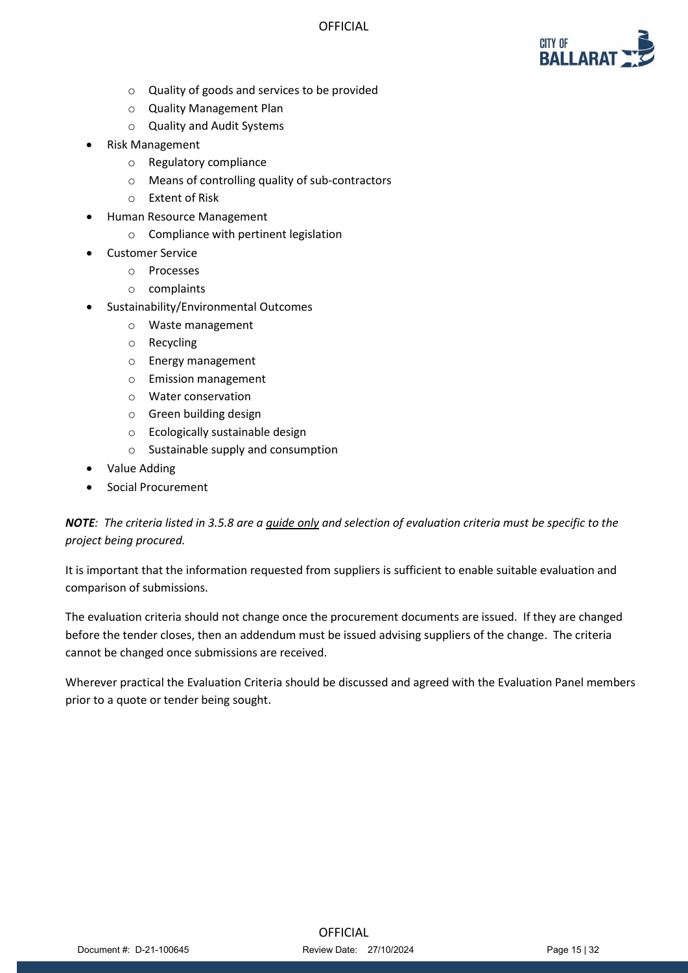

- o Quality of goods and services to be provided
- o Quality Management Plan
- o Quality and Audit Systems
- Risk Management
	- o Regulatory compliance
	- o Means of controlling quality of sub-contractors
	- o Extent of Risk
- Human Resource Management
	- o Compliance with pertinent legislation
- Customer Service
	- o Processes
	- o complaints
- Sustainability/Environmental Outcomes
	- o Waste management
	- o Recycling
	- o Energy management
	- o Emission management
	- o Water conservation
	- o Green building design
	- o Ecologically sustainable design
	- o Sustainable supply and consumption
- Value Adding
- Social Procurement

## *NOTE: The criteria listed in 3.5.8 are a guide only and selection of evaluation criteria must be specific to the project being procured.*

It is important that the information requested from suppliers is sufficient to enable suitable evaluation and comparison of submissions.

The evaluation criteria should not change once the procurement documents are issued. If they are changed before the tender closes, then an addendum must be issued advising suppliers of the change. The criteria cannot be changed once submissions are received.

Wherever practical the Evaluation Criteria should be discussed and agreed with the Evaluation Panel members prior to a quote or tender being sought.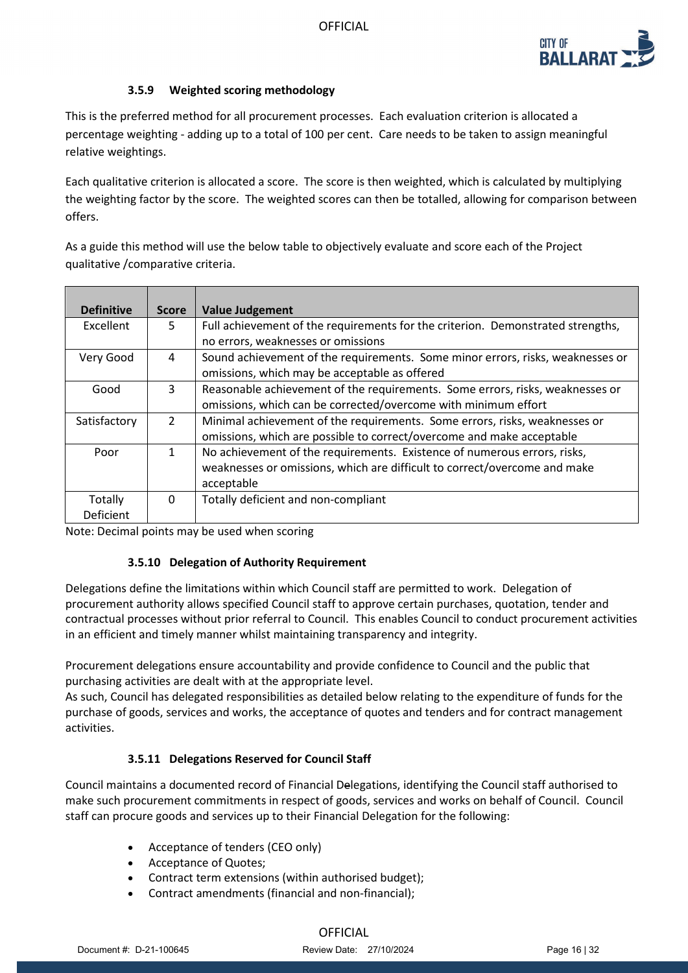

## **3.5.9 Weighted scoring methodology**

This is the preferred method for all procurement processes. Each evaluation criterion is allocated a percentage weighting - adding up to a total of 100 per cent. Care needs to be taken to assign meaningful relative weightings.

Each qualitative criterion is allocated a score. The score is then weighted, which is calculated by multiplying the weighting factor by the score. The weighted scores can then be totalled, allowing for comparison between offers.

As a guide this method will use the below table to objectively evaluate and score each of the Project qualitative /comparative criteria.

| <b>Definitive</b>    | <b>Score</b>  | <b>Value Judgement</b>                                                                                                                                              |
|----------------------|---------------|---------------------------------------------------------------------------------------------------------------------------------------------------------------------|
| Excellent            | 5.            | Full achievement of the requirements for the criterion. Demonstrated strengths,<br>no errors, weaknesses or omissions                                               |
| Very Good            | 4             | Sound achievement of the requirements. Some minor errors, risks, weaknesses or<br>omissions, which may be acceptable as offered                                     |
| Good                 | 3             | Reasonable achievement of the requirements. Some errors, risks, weaknesses or<br>omissions, which can be corrected/overcome with minimum effort                     |
| Satisfactory         | $\mathcal{L}$ | Minimal achievement of the requirements. Some errors, risks, weaknesses or<br>omissions, which are possible to correct/overcome and make acceptable                 |
| Poor                 | 1             | No achievement of the requirements. Existence of numerous errors, risks,<br>weaknesses or omissions, which are difficult to correct/overcome and make<br>acceptable |
| Totally<br>Deficient | 0             | Totally deficient and non-compliant                                                                                                                                 |

Note: Decimal points may be used when scoring

## **3.5.10 Delegation of Authority Requirement**

Delegations define the limitations within which Council staff are permitted to work. Delegation of procurement authority allows specified Council staff to approve certain purchases, quotation, tender and contractual processes without prior referral to Council. This enables Council to conduct procurement activities in an efficient and timely manner whilst maintaining transparency and integrity.

Procurement delegations ensure accountability and provide confidence to Council and the public that purchasing activities are dealt with at the appropriate level.

As such, Council has delegated responsibilities as detailed below relating to the expenditure of funds for the purchase of goods, services and works, the acceptance of quotes and tenders and for contract management activities.

## **3.5.11 Delegations Reserved for Council Staff**

Council maintains a documented record of Financial Delegations, identifying the Council staff authorised to make such procurement commitments in respect of goods, services and works on behalf of Council. Council staff can procure goods and services up to their Financial Delegation for the following:

- Acceptance of tenders (CEO only)
- Acceptance of Quotes;
- Contract term extensions (within authorised budget);
- Contract amendments (financial and non-financial);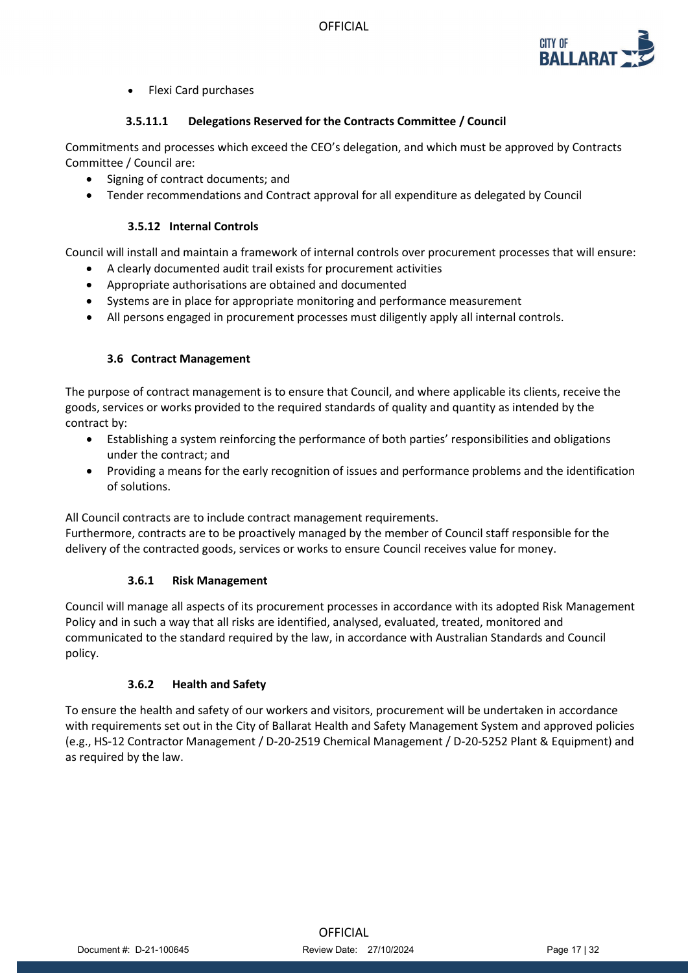

• Flexi Card purchases

## **3.5.11.1 Delegations Reserved for the Contracts Committee / Council**

Commitments and processes which exceed the CEO's delegation, and which must be approved by Contracts Committee / Council are:

- Signing of contract documents; and
- Tender recommendations and Contract approval for all expenditure as delegated by Council

### **3.5.12 Internal Controls**

Council will install and maintain a framework of internal controls over procurement processes that will ensure:

- A clearly documented audit trail exists for procurement activities
- Appropriate authorisations are obtained and documented
- Systems are in place for appropriate monitoring and performance measurement
- All persons engaged in procurement processes must diligently apply all internal controls.

### **3.6 Contract Management**

The purpose of contract management is to ensure that Council, and where applicable its clients, receive the goods, services or works provided to the required standards of quality and quantity as intended by the contract by:

- Establishing a system reinforcing the performance of both parties' responsibilities and obligations under the contract; and
- Providing a means for the early recognition of issues and performance problems and the identification of solutions.

All Council contracts are to include contract management requirements.

Furthermore, contracts are to be proactively managed by the member of Council staff responsible for the delivery of the contracted goods, services or works to ensure Council receives value for money.

### **3.6.1 Risk Management**

Council will manage all aspects of its procurement processes in accordance with its adopted Risk Management Policy and in such a way that all risks are identified, analysed, evaluated, treated, monitored and communicated to the standard required by the law, in accordance with Australian Standards and Council policy.

## **3.6.2 Health and Safety**

To ensure the health and safety of our workers and visitors, procurement will be undertaken in accordance with requirements set out in the City of Ballarat Health and Safety Management System and approved policies (e.g., HS-12 Contractor Management / D-20-2519 Chemical Management / D-20-5252 Plant & Equipment) and as required by the law.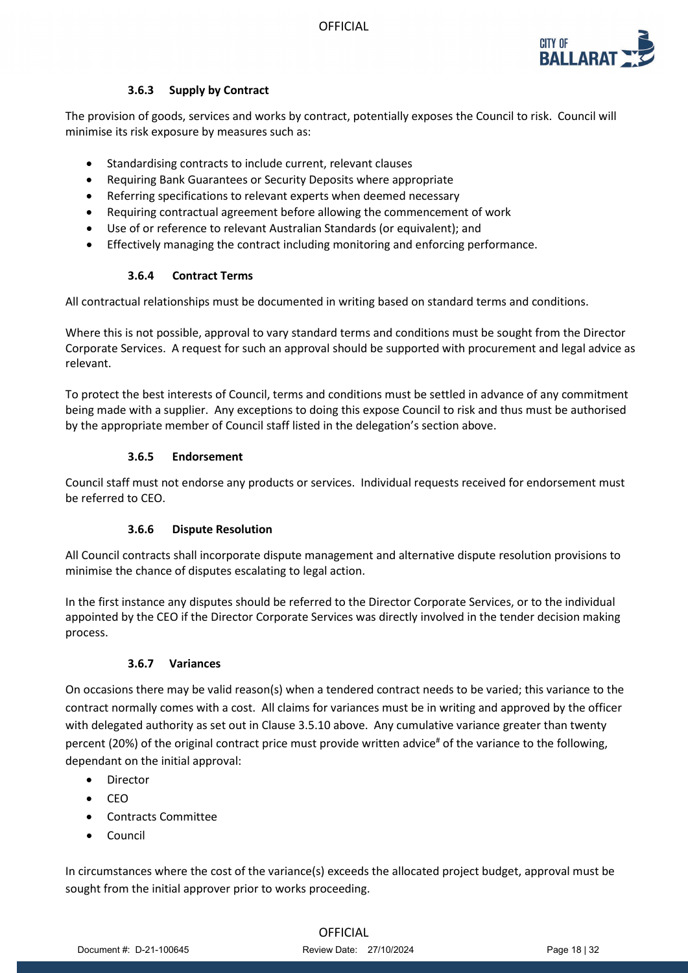

## **3.6.3 Supply by Contract**

The provision of goods, services and works by contract, potentially exposes the Council to risk. Council will minimise its risk exposure by measures such as:

- Standardising contracts to include current, relevant clauses
- Requiring Bank Guarantees or Security Deposits where appropriate
- Referring specifications to relevant experts when deemed necessary
- Requiring contractual agreement before allowing the commencement of work
- Use of or reference to relevant Australian Standards (or equivalent); and
- Effectively managing the contract including monitoring and enforcing performance.

## **3.6.4 Contract Terms**

All contractual relationships must be documented in writing based on standard terms and conditions.

Where this is not possible, approval to vary standard terms and conditions must be sought from the Director Corporate Services. A request for such an approval should be supported with procurement and legal advice as relevant.

To protect the best interests of Council, terms and conditions must be settled in advance of any commitment being made with a supplier. Any exceptions to doing this expose Council to risk and thus must be authorised by the appropriate member of Council staff listed in the delegation's section above.

## **3.6.5 Endorsement**

Council staff must not endorse any products or services. Individual requests received for endorsement must be referred to CEO.

## **3.6.6 Dispute Resolution**

All Council contracts shall incorporate dispute management and alternative dispute resolution provisions to minimise the chance of disputes escalating to legal action.

In the first instance any disputes should be referred to the Director Corporate Services, or to the individual appointed by the CEO if the Director Corporate Services was directly involved in the tender decision making process.

## **3.6.7 Variances**

On occasions there may be valid reason(s) when a tendered contract needs to be varied; this variance to the contract normally comes with a cost. All claims for variances must be in writing and approved by the officer with delegated authority as set out in Clause 3.5.10 above.Any cumulative variance greater than twenty percent (20%) of the original contract price must provide written advice<sup>#</sup> of the variance to the following, dependant on the initial approval:

- Director
- CEO
- Contracts Committee
- Council

In circumstances where the cost of the variance(s) exceeds the allocated project budget, approval must be sought from the initial approver prior to works proceeding.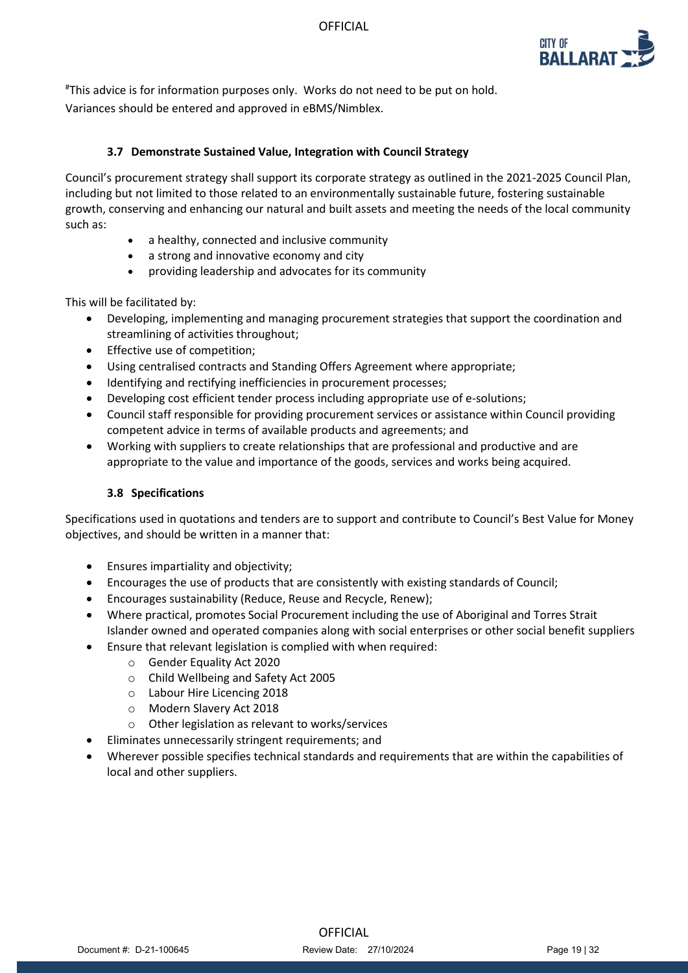

# This advice is for information purposes only. Works do not need to be put on hold. Variances should be entered and approved in eBMS/Nimblex.

### **3.7 Demonstrate Sustained Value, Integration with Council Strategy**

Council's procurement strategy shall support its corporate strategy as outlined in the 2021-2025 Council Plan, including but not limited to those related to an environmentally sustainable future, fostering sustainable growth, conserving and enhancing our natural and built assets and meeting the needs of the local community such as:

- a healthy, connected and inclusive community
- a strong and innovative economy and city
- providing leadership and advocates for its community

This will be facilitated by:

- Developing, implementing and managing procurement strategies that support the coordination and streamlining of activities throughout;
- Effective use of competition;
- Using centralised contracts and Standing Offers Agreement where appropriate;
- Identifying and rectifying inefficiencies in procurement processes;
- Developing cost efficient tender process including appropriate use of e-solutions;
- Council staff responsible for providing procurement services or assistance within Council providing competent advice in terms of available products and agreements; and
- Working with suppliers to create relationships that are professional and productive and are appropriate to the value and importance of the goods, services and works being acquired.

### **3.8 Specifications**

Specifications used in quotations and tenders are to support and contribute to Council's Best Value for Money objectives, and should be written in a manner that:

- Ensures impartiality and objectivity;
- Encourages the use of products that are consistently with existing standards of Council;
- Encourages sustainability (Reduce, Reuse and Recycle, Renew);
- Where practical, promotes Social Procurement including the use of Aboriginal and Torres Strait Islander owned and operated companies along with social enterprises or other social benefit suppliers
	- Ensure that relevant legislation is complied with when required:
		- o Gender Equality Act 2020
		- o Child Wellbeing and Safety Act 2005
		- o Labour Hire Licencing 2018
		- o Modern Slavery Act 2018
		- o Other legislation as relevant to works/services
- Eliminates unnecessarily stringent requirements; and
- Wherever possible specifies technical standards and requirements that are within the capabilities of local and other suppliers.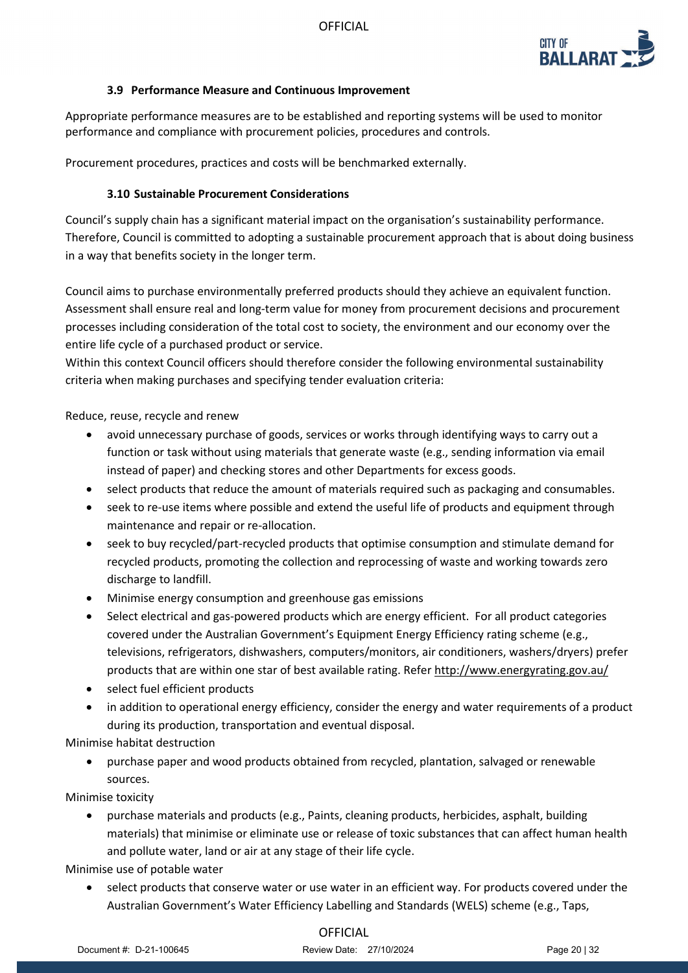

### **3.9 Performance Measure and Continuous Improvement**

Appropriate performance measures are to be established and reporting systems will be used to monitor performance and compliance with procurement policies, procedures and controls.

Procurement procedures, practices and costs will be benchmarked externally.

## **3.10 Sustainable Procurement Considerations**

Council's supply chain has a significant material impact on the organisation's sustainability performance. Therefore, Council is committed to adopting a sustainable procurement approach that is about doing business in a way that benefits society in the longer term.

Council aims to purchase environmentally preferred products should they achieve an equivalent function. Assessment shall ensure real and long-term value for money from procurement decisions and procurement processes including consideration of the total cost to society, the environment and our economy over the entire life cycle of a purchased product or service.

Within this context Council officers should therefore consider the following environmental sustainability criteria when making purchases and specifying tender evaluation criteria:

Reduce, reuse, recycle and renew

- avoid unnecessary purchase of goods, services or works through identifying ways to carry out a function or task without using materials that generate waste (e.g., sending information via email instead of paper) and checking stores and other Departments for excess goods.
- select products that reduce the amount of materials required such as packaging and consumables.
- seek to re-use items where possible and extend the useful life of products and equipment through maintenance and repair or re-allocation.
- seek to buy recycled/part-recycled products that optimise consumption and stimulate demand for recycled products, promoting the collection and reprocessing of waste and working towards zero discharge to landfill.
- Minimise energy consumption and greenhouse gas emissions
- Select electrical and gas-powered products which are energy efficient. For all product categories covered under the Australian Government's Equipment Energy Efficiency rating scheme (e.g., televisions, refrigerators, dishwashers, computers/monitors, air conditioners, washers/dryers) prefer products that are within one star of best available rating. Refer<http://www.energyrating.gov.au/>
- select fuel efficient products
- in addition to operational energy efficiency, consider the energy and water requirements of a product during its production, transportation and eventual disposal.

Minimise habitat destruction

• purchase paper and wood products obtained from recycled, plantation, salvaged or renewable sources.

Minimise toxicity

• purchase materials and products (e.g., Paints, cleaning products, herbicides, asphalt, building materials) that minimise or eliminate use or release of toxic substances that can affect human health and pollute water, land or air at any stage of their life cycle.

Minimise use of potable water

• select products that conserve water or use water in an efficient way. For products covered under the Australian Government's Water Efficiency Labelling and Standards (WELS) scheme (e.g., Taps,

## **OFFICIAL**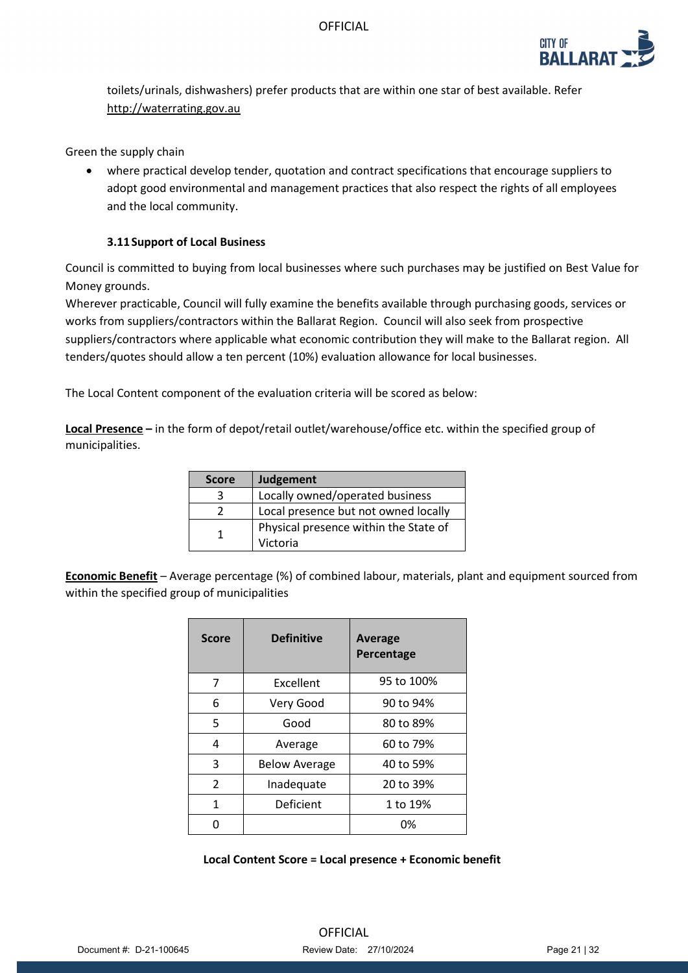

toilets/urinals, dishwashers) prefer products that are within one star of best available. Refer [http://waterrating.gov.au](http://waterrating.gov.au/)

Green the supply chain

• where practical develop tender, quotation and contract specifications that encourage suppliers to adopt good environmental and management practices that also respect the rights of all employees and the local community.

### **3.11Support of Local Business**

Council is committed to buying from local businesses where such purchases may be justified on Best Value for Money grounds.

Wherever practicable, Council will fully examine the benefits available through purchasing goods, services or works from suppliers/contractors within the Ballarat Region. Council will also seek from prospective suppliers/contractors where applicable what economic contribution they will make to the Ballarat region. All tenders/quotes should allow a ten percent (10%) evaluation allowance for local businesses.

The Local Content component of the evaluation criteria will be scored as below:

**Local Presence –** in the form of depot/retail outlet/warehouse/office etc. within the specified group of municipalities.

| <b>Score</b> | Judgement                             |
|--------------|---------------------------------------|
| 3            | Locally owned/operated business       |
|              | Local presence but not owned locally  |
|              | Physical presence within the State of |
|              | Victoria                              |

**Economic Benefit** – Average percentage (%) of combined labour, materials, plant and equipment sourced from within the specified group of municipalities

| <b>Score</b>             | <b>Definitive</b>    | <b>Average</b><br>Percentage |
|--------------------------|----------------------|------------------------------|
| 7                        | Excellent            | 95 to 100%                   |
| 6                        | Very Good            | 90 to 94%                    |
| 5                        | Good                 | 80 to 89%                    |
| 4                        | Average              | 60 to 79%                    |
| 3                        | <b>Below Average</b> | 40 to 59%                    |
| $\overline{\phantom{a}}$ | Inadequate           | 20 to 39%                    |
| 1                        | <b>Deficient</b>     | 1 to 19%                     |
|                          |                      | 0%                           |

### **Local Content Score = Local presence + Economic benefit**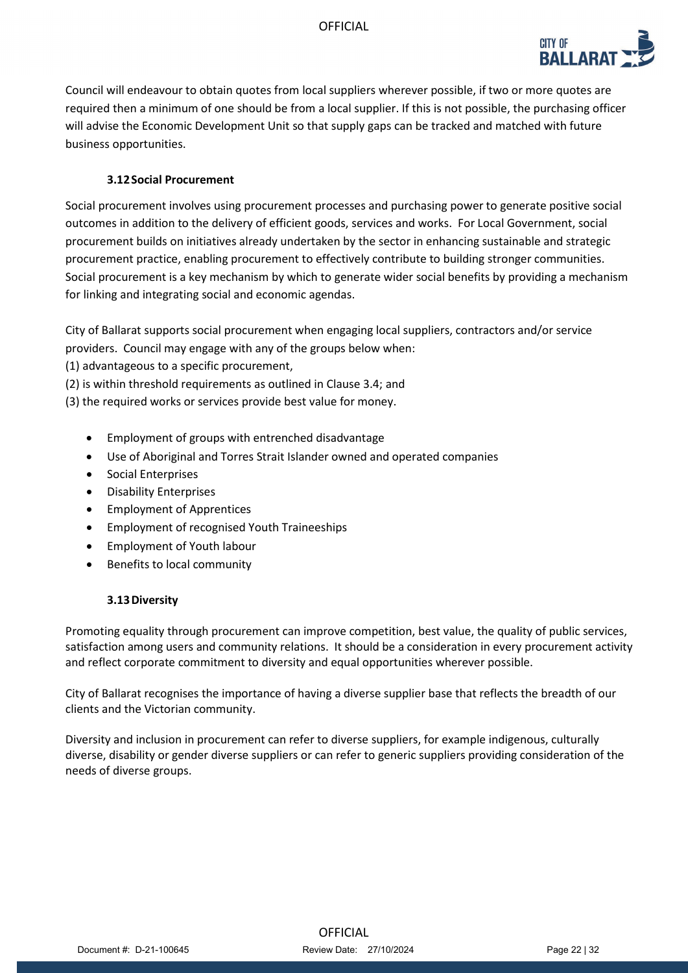

Council will endeavour to obtain quotes from local suppliers wherever possible, if two or more quotes are required then a minimum of one should be from a local supplier. If this is not possible, the purchasing officer will advise the Economic Development Unit so that supply gaps can be tracked and matched with future business opportunities.

### **3.12Social Procurement**

Social procurement involves using procurement processes and purchasing power to generate positive social outcomes in addition to the delivery of efficient goods, services and works. For Local Government, social procurement builds on initiatives already undertaken by the sector in enhancing sustainable and strategic procurement practice, enabling procurement to effectively contribute to building stronger communities. Social procurement is a key mechanism by which to generate wider social benefits by providing a mechanism for linking and integrating social and economic agendas.

City of Ballarat supports social procurement when engaging local suppliers, contractors and/or service providers. Council may engage with any of the groups below when:

(1) advantageous to a specific procurement,

(2) is within threshold requirements as outlined in Clause 3.4; and

(3) the required works or services provide best value for money.

- Employment of groups with entrenched disadvantage
- Use of Aboriginal and Torres Strait Islander owned and operated companies
- Social Enterprises
- Disability Enterprises
- Employment of Apprentices
- Employment of recognised Youth Traineeships
- Employment of Youth labour
- Benefits to local community

### **3.13Diversity**

Promoting equality through procurement can improve competition, best value, the quality of public services, satisfaction among users and community relations. It should be a consideration in every procurement activity and reflect corporate commitment to diversity and equal opportunities wherever possible.

City of Ballarat recognises the importance of having a diverse supplier base that reflects the breadth of our clients and the Victorian community.

Diversity and inclusion in procurement can refer to diverse suppliers, for example indigenous, culturally diverse, disability or gender diverse suppliers or can refer to generic suppliers providing consideration of the needs of diverse groups.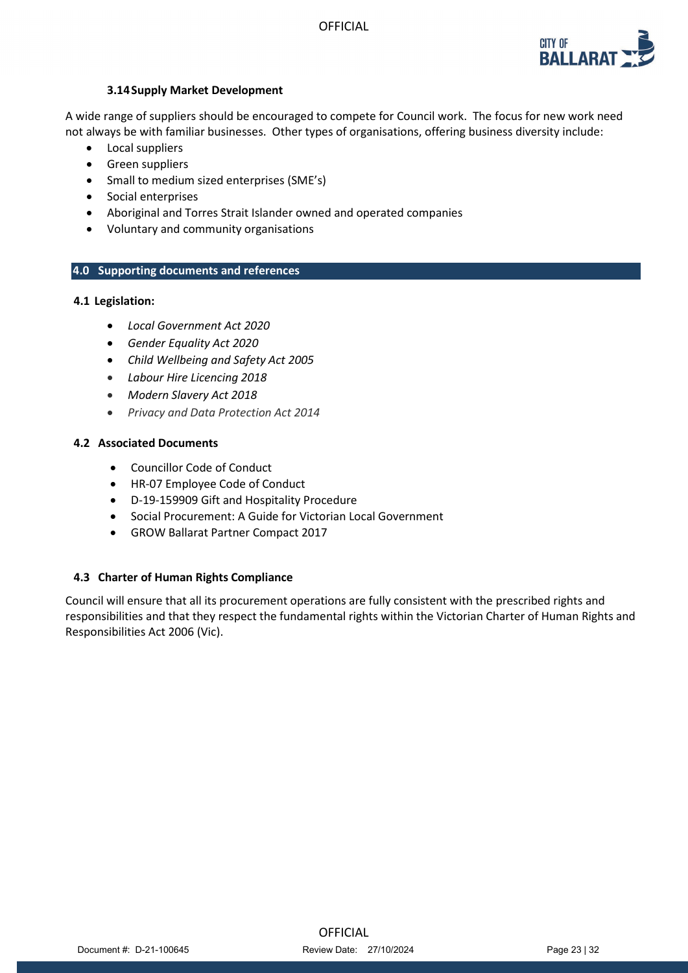

### **3.14Supply Market Development**

A wide range of suppliers should be encouraged to compete for Council work. The focus for new work need not always be with familiar businesses. Other types of organisations, offering business diversity include:

- Local suppliers
- Green suppliers
- Small to medium sized enterprises (SME's)
- Social enterprises
- Aboriginal and Torres Strait Islander owned and operated companies
- Voluntary and community organisations

## **4.0 Supporting documents and references**

### **4.1 Legislation:**

- *Local Government Act 2020*
- *Gender Equality Act 2020*
- *Child Wellbeing and Safety Act 2005*
- *Labour Hire Licencing 2018*
- *Modern Slavery Act 2018*
- *Privacy and Data Protection Act 2014*

### **4.2 Associated Documents**

- Councillor Code of Conduct
- HR-07 Employee Code of Conduct
- D-19-159909 Gift and Hospitality Procedure
- Social Procurement: A Guide for Victorian Local Government
- GROW Ballarat Partner Compact 2017

## **4.3 Charter of Human Rights Compliance**

Council will ensure that all its procurement operations are fully consistent with the prescribed rights and responsibilities and that they respect the fundamental rights within the Victorian Charter of Human Rights and Responsibilities Act 2006 (Vic).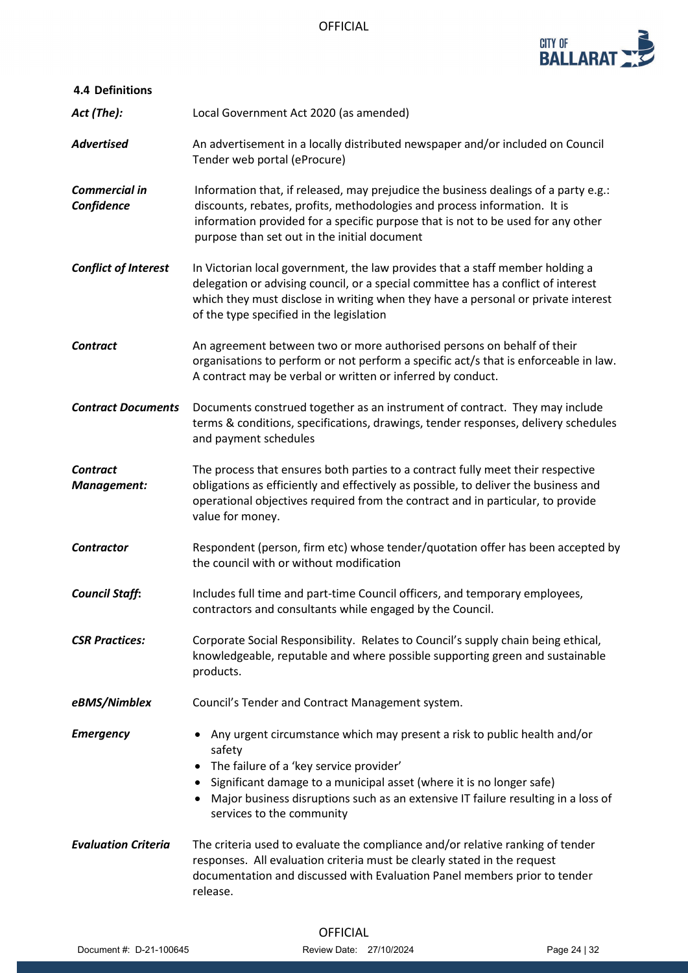

| <b>4.4 Definitions</b>             |                                                                                                                                                                                                                                                                                                                         |
|------------------------------------|-------------------------------------------------------------------------------------------------------------------------------------------------------------------------------------------------------------------------------------------------------------------------------------------------------------------------|
| Act (The):                         | Local Government Act 2020 (as amended)                                                                                                                                                                                                                                                                                  |
| <b>Advertised</b>                  | An advertisement in a locally distributed newspaper and/or included on Council<br>Tender web portal (eProcure)                                                                                                                                                                                                          |
| <b>Commercial in</b><br>Confidence | Information that, if released, may prejudice the business dealings of a party e.g.:<br>discounts, rebates, profits, methodologies and process information. It is<br>information provided for a specific purpose that is not to be used for any other<br>purpose than set out in the initial document                    |
| <b>Conflict of Interest</b>        | In Victorian local government, the law provides that a staff member holding a<br>delegation or advising council, or a special committee has a conflict of interest<br>which they must disclose in writing when they have a personal or private interest<br>of the type specified in the legislation                     |
| <b>Contract</b>                    | An agreement between two or more authorised persons on behalf of their<br>organisations to perform or not perform a specific act/s that is enforceable in law.<br>A contract may be verbal or written or inferred by conduct.                                                                                           |
| <b>Contract Documents</b>          | Documents construed together as an instrument of contract. They may include<br>terms & conditions, specifications, drawings, tender responses, delivery schedules<br>and payment schedules                                                                                                                              |
| <b>Contract</b><br>Management:     | The process that ensures both parties to a contract fully meet their respective<br>obligations as efficiently and effectively as possible, to deliver the business and<br>operational objectives required from the contract and in particular, to provide<br>value for money.                                           |
| <b>Contractor</b>                  | Respondent (person, firm etc) whose tender/quotation offer has been accepted by<br>the council with or without modification                                                                                                                                                                                             |
| <b>Council Staff:</b>              | Includes full time and part-time Council officers, and temporary employees,<br>contractors and consultants while engaged by the Council.                                                                                                                                                                                |
| <b>CSR Practices:</b>              | Corporate Social Responsibility. Relates to Council's supply chain being ethical,<br>knowledgeable, reputable and where possible supporting green and sustainable<br>products.                                                                                                                                          |
| eBMS/Nimblex                       | Council's Tender and Contract Management system.                                                                                                                                                                                                                                                                        |
| <b>Emergency</b>                   | Any urgent circumstance which may present a risk to public health and/or<br>safety<br>The failure of a 'key service provider'<br>Significant damage to a municipal asset (where it is no longer safe)<br>Major business disruptions such as an extensive IT failure resulting in a loss of<br>services to the community |
| <b>Evaluation Criteria</b>         | The criteria used to evaluate the compliance and/or relative ranking of tender<br>responses. All evaluation criteria must be clearly stated in the request<br>documentation and discussed with Evaluation Panel members prior to tender<br>release.                                                                     |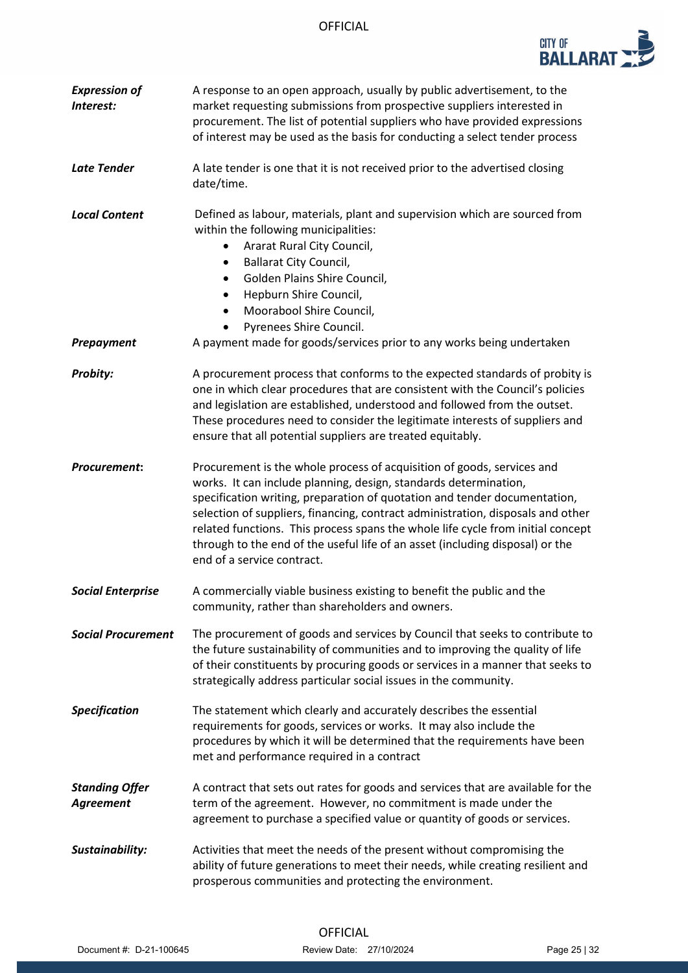

| <b>Expression of</b><br>Interest:         | A response to an open approach, usually by public advertisement, to the<br>market requesting submissions from prospective suppliers interested in<br>procurement. The list of potential suppliers who have provided expressions<br>of interest may be used as the basis for conducting a select tender process                                                                                                                                                                                               |  |  |
|-------------------------------------------|--------------------------------------------------------------------------------------------------------------------------------------------------------------------------------------------------------------------------------------------------------------------------------------------------------------------------------------------------------------------------------------------------------------------------------------------------------------------------------------------------------------|--|--|
| <b>Late Tender</b>                        | A late tender is one that it is not received prior to the advertised closing<br>date/time.                                                                                                                                                                                                                                                                                                                                                                                                                   |  |  |
| <b>Local Content</b>                      | Defined as labour, materials, plant and supervision which are sourced from<br>within the following municipalities:<br>Ararat Rural City Council,<br><b>Ballarat City Council,</b><br>$\bullet$<br>Golden Plains Shire Council,<br>Hepburn Shire Council,<br>Moorabool Shire Council,<br>$\bullet$<br>Pyrenees Shire Council.                                                                                                                                                                                 |  |  |
| Prepayment                                | A payment made for goods/services prior to any works being undertaken                                                                                                                                                                                                                                                                                                                                                                                                                                        |  |  |
| Probity:                                  | A procurement process that conforms to the expected standards of probity is<br>one in which clear procedures that are consistent with the Council's policies<br>and legislation are established, understood and followed from the outset.<br>These procedures need to consider the legitimate interests of suppliers and<br>ensure that all potential suppliers are treated equitably.                                                                                                                       |  |  |
| Procurement:                              | Procurement is the whole process of acquisition of goods, services and<br>works. It can include planning, design, standards determination,<br>specification writing, preparation of quotation and tender documentation,<br>selection of suppliers, financing, contract administration, disposals and other<br>related functions. This process spans the whole life cycle from initial concept<br>through to the end of the useful life of an asset (including disposal) or the<br>end of a service contract. |  |  |
| <b>Social Enterprise</b>                  | A commercially viable business existing to benefit the public and the<br>community, rather than shareholders and owners.                                                                                                                                                                                                                                                                                                                                                                                     |  |  |
| <b>Social Procurement</b>                 | The procurement of goods and services by Council that seeks to contribute to<br>the future sustainability of communities and to improving the quality of life<br>of their constituents by procuring goods or services in a manner that seeks to<br>strategically address particular social issues in the community.                                                                                                                                                                                          |  |  |
| <b>Specification</b>                      | The statement which clearly and accurately describes the essential<br>requirements for goods, services or works. It may also include the<br>procedures by which it will be determined that the requirements have been<br>met and performance required in a contract                                                                                                                                                                                                                                          |  |  |
| <b>Standing Offer</b><br><b>Agreement</b> | A contract that sets out rates for goods and services that are available for the<br>term of the agreement. However, no commitment is made under the<br>agreement to purchase a specified value or quantity of goods or services.                                                                                                                                                                                                                                                                             |  |  |
| Sustainability:                           | Activities that meet the needs of the present without compromising the<br>ability of future generations to meet their needs, while creating resilient and<br>prosperous communities and protecting the environment.                                                                                                                                                                                                                                                                                          |  |  |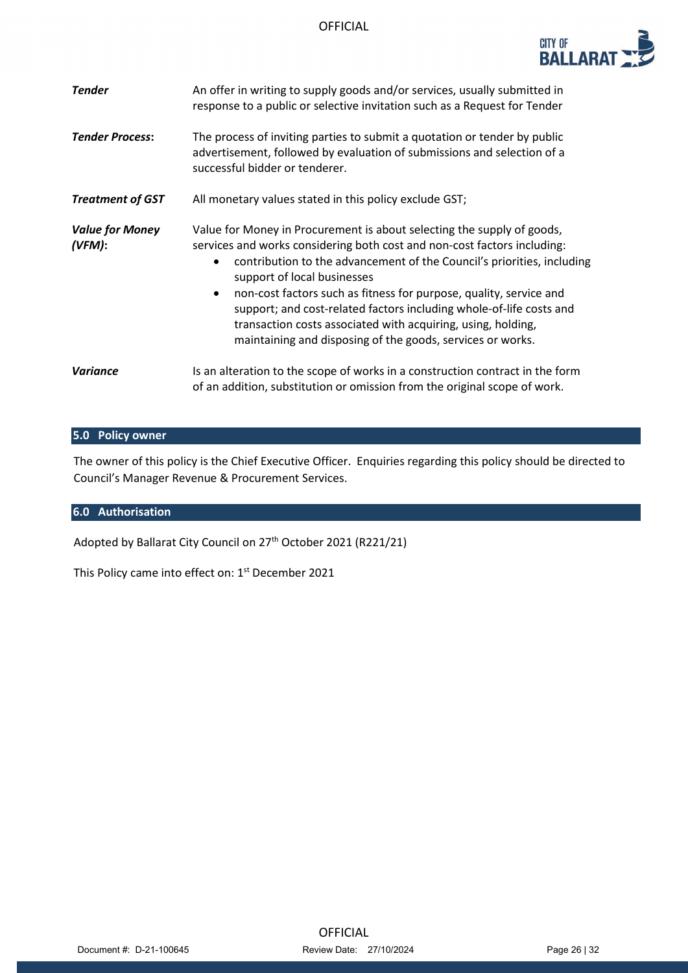| <b>CITY OF</b><br><b>BALLARAT</b> |  |
|-----------------------------------|--|
|                                   |  |

| <b>Tender</b>                    | An offer in writing to supply goods and/or services, usually submitted in<br>response to a public or selective invitation such as a Request for Tender                                                                                                                                                                                                                                                                                                                                                                                                           |  |
|----------------------------------|------------------------------------------------------------------------------------------------------------------------------------------------------------------------------------------------------------------------------------------------------------------------------------------------------------------------------------------------------------------------------------------------------------------------------------------------------------------------------------------------------------------------------------------------------------------|--|
| <b>Tender Process:</b>           | The process of inviting parties to submit a quotation or tender by public<br>advertisement, followed by evaluation of submissions and selection of a<br>successful bidder or tenderer.                                                                                                                                                                                                                                                                                                                                                                           |  |
| <b>Treatment of GST</b>          | All monetary values stated in this policy exclude GST;                                                                                                                                                                                                                                                                                                                                                                                                                                                                                                           |  |
| <b>Value for Money</b><br>(VFM): | Value for Money in Procurement is about selecting the supply of goods,<br>services and works considering both cost and non-cost factors including:<br>contribution to the advancement of the Council's priorities, including<br>$\bullet$<br>support of local businesses<br>non-cost factors such as fitness for purpose, quality, service and<br>$\bullet$<br>support; and cost-related factors including whole-of-life costs and<br>transaction costs associated with acquiring, using, holding,<br>maintaining and disposing of the goods, services or works. |  |
| Variance                         | Is an alteration to the scope of works in a construction contract in the form<br>of an addition, substitution or omission from the original scope of work.                                                                                                                                                                                                                                                                                                                                                                                                       |  |

## **5.0 Policy owner**

The owner of this policy is the Chief Executive Officer. Enquiries regarding this policy should be directed to Council's Manager Revenue & Procurement Services.

## **6.0 Authorisation**

Adopted by Ballarat City Council on 27<sup>th</sup> October 2021 (R221/21)

This Policy came into effect on: 1<sup>st</sup> December 2021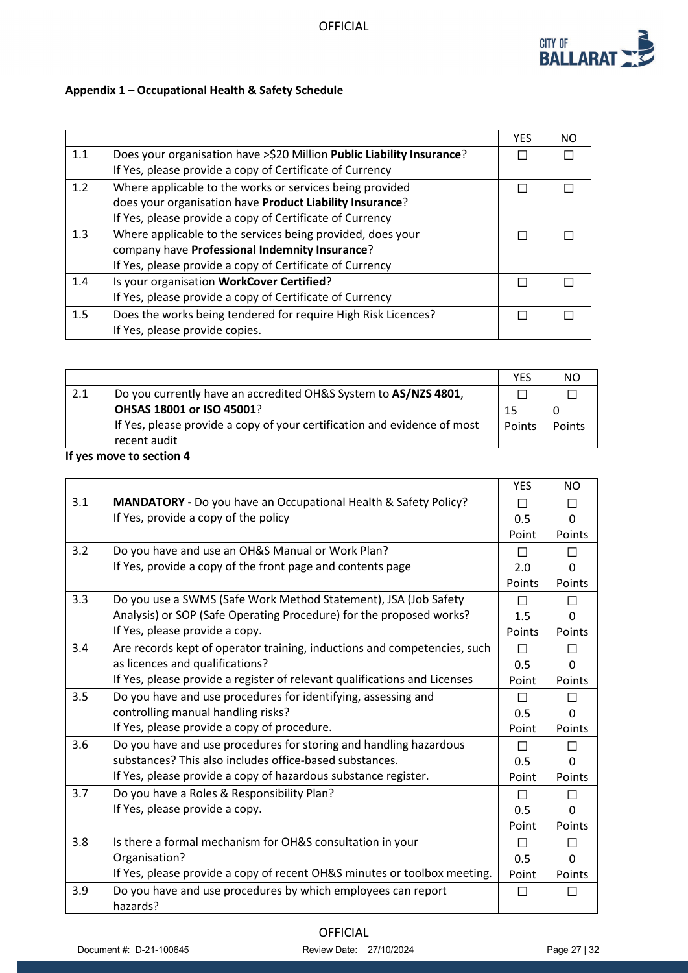

# **Appendix 1 – Occupational Health & Safety Schedule**

|     |                                                                       | <b>YES</b> | NO. |
|-----|-----------------------------------------------------------------------|------------|-----|
| 1.1 | Does your organisation have >\$20 Million Public Liability Insurance? |            |     |
|     | If Yes, please provide a copy of Certificate of Currency              |            |     |
| 1.2 | Where applicable to the works or services being provided              |            |     |
|     | does your organisation have Product Liability Insurance?              |            |     |
|     | If Yes, please provide a copy of Certificate of Currency              |            |     |
| 1.3 | Where applicable to the services being provided, does your            |            |     |
|     | company have Professional Indemnity Insurance?                        |            |     |
|     | If Yes, please provide a copy of Certificate of Currency              |            |     |
| 1.4 | Is your organisation WorkCover Certified?                             |            |     |
|     | If Yes, please provide a copy of Certificate of Currency              |            |     |
| 1.5 | Does the works being tendered for require High Risk Licences?         |            |     |
|     | If Yes, please provide copies.                                        |            |     |

|     |                                                                          | YES    |        |
|-----|--------------------------------------------------------------------------|--------|--------|
| 2.1 | Do you currently have an accredited OH&S System to AS/NZS 4801,          |        |        |
|     | OHSAS 18001 or ISO 45001?                                                | 15     |        |
|     | If Yes, please provide a copy of your certification and evidence of most | Points | Points |
|     | recent audit                                                             |        |        |
|     | 10 ann an cuid bh' an chlain A                                           |        |        |

### **If yes move to section 4**

|     |                                                                           | <b>YES</b> | NO.          |
|-----|---------------------------------------------------------------------------|------------|--------------|
| 3.1 | MANDATORY - Do you have an Occupational Health & Safety Policy?           | П          |              |
|     | If Yes, provide a copy of the policy                                      | 0.5        | O            |
|     |                                                                           | Point      | Points       |
| 3.2 | Do you have and use an OH&S Manual or Work Plan?                          | П          |              |
|     | If Yes, provide a copy of the front page and contents page                | 2.0        | O            |
|     |                                                                           | Points     | Points       |
| 3.3 | Do you use a SWMS (Safe Work Method Statement), JSA (Job Safety           | П          | П            |
|     | Analysis) or SOP (Safe Operating Procedure) for the proposed works?       | 1.5        | n            |
|     | If Yes, please provide a copy.                                            | Points     | Points       |
| 3.4 | Are records kept of operator training, inductions and competencies, such  | П          |              |
|     | as licences and qualifications?                                           | 0.5        | O            |
|     | If Yes, please provide a register of relevant qualifications and Licenses | Point      | Points       |
| 3.5 | Do you have and use procedures for identifying, assessing and             | П          | ΙI           |
|     | controlling manual handling risks?                                        | 0.5        | <sup>0</sup> |
|     | If Yes, please provide a copy of procedure.                               | Point      | Points       |
| 3.6 | Do you have and use procedures for storing and handling hazardous         | $\Box$     | П            |
|     | substances? This also includes office-based substances.                   | 0.5        | O            |
|     | If Yes, please provide a copy of hazardous substance register.            | Point      | Points       |
| 3.7 | Do you have a Roles & Responsibility Plan?                                | П          |              |
|     | If Yes, please provide a copy.                                            | 0.5        | 0            |
|     |                                                                           | Point      | Points       |
| 3.8 | Is there a formal mechanism for OH&S consultation in your                 | П          | П            |
|     | Organisation?                                                             | 0.5        | U            |
|     | If Yes, please provide a copy of recent OH&S minutes or toolbox meeting.  | Point      | Points       |
| 3.9 | Do you have and use procedures by which employees can report              | П          |              |
|     | hazards?                                                                  |            |              |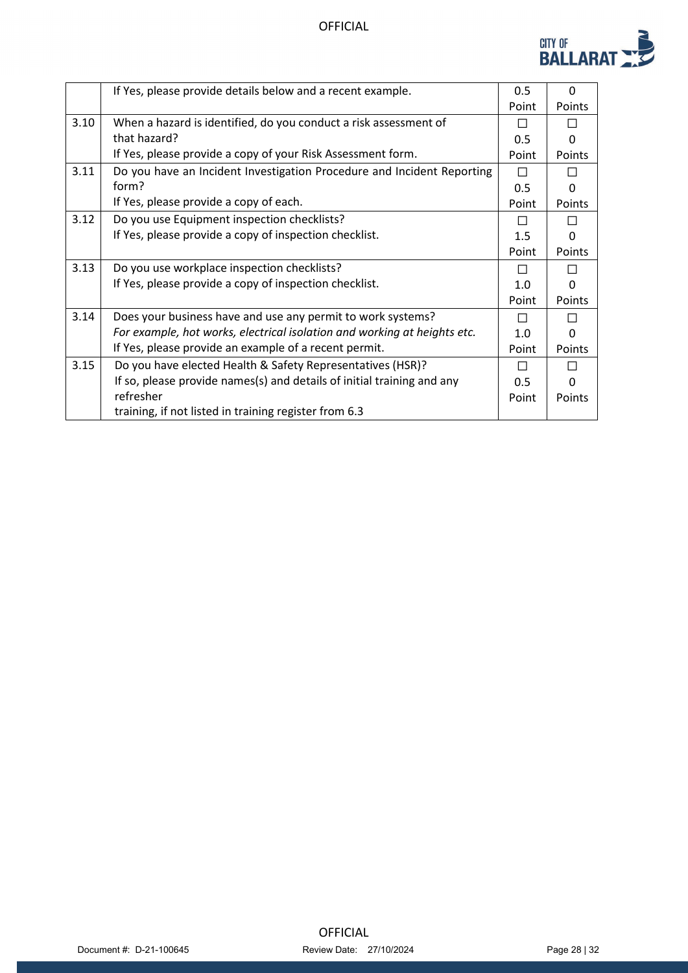

|      | If Yes, please provide details below and a recent example.               | 0.5   | $\Omega$      |
|------|--------------------------------------------------------------------------|-------|---------------|
|      |                                                                          | Point | <b>Points</b> |
| 3.10 | When a hazard is identified, do you conduct a risk assessment of         | П     |               |
|      | that hazard?                                                             | 0.5   | U             |
|      | If Yes, please provide a copy of your Risk Assessment form.              | Point | Points        |
| 3.11 | Do you have an Incident Investigation Procedure and Incident Reporting   | П     | $\Box$        |
|      | form?                                                                    | 0.5   | 0             |
|      | If Yes, please provide a copy of each.                                   | Point | Points        |
| 3.12 | Do you use Equipment inspection checklists?                              | П     |               |
|      | If Yes, please provide a copy of inspection checklist.                   | 1.5   | O             |
|      |                                                                          | Point | Points        |
| 3.13 | Do you use workplace inspection checklists?                              | П     |               |
|      | If Yes, please provide a copy of inspection checklist.                   | 1.0   | U             |
|      |                                                                          | Point | Points        |
| 3.14 | Does your business have and use any permit to work systems?              | П     |               |
|      | For example, hot works, electrical isolation and working at heights etc. | 1.0   | O             |
|      | If Yes, please provide an example of a recent permit.                    | Point | Points        |
| 3.15 | Do you have elected Health & Safety Representatives (HSR)?               | П     |               |
|      | If so, please provide names(s) and details of initial training and any   | 0.5   | O             |
|      | refresher                                                                | Point | Points        |
|      | training, if not listed in training register from 6.3                    |       |               |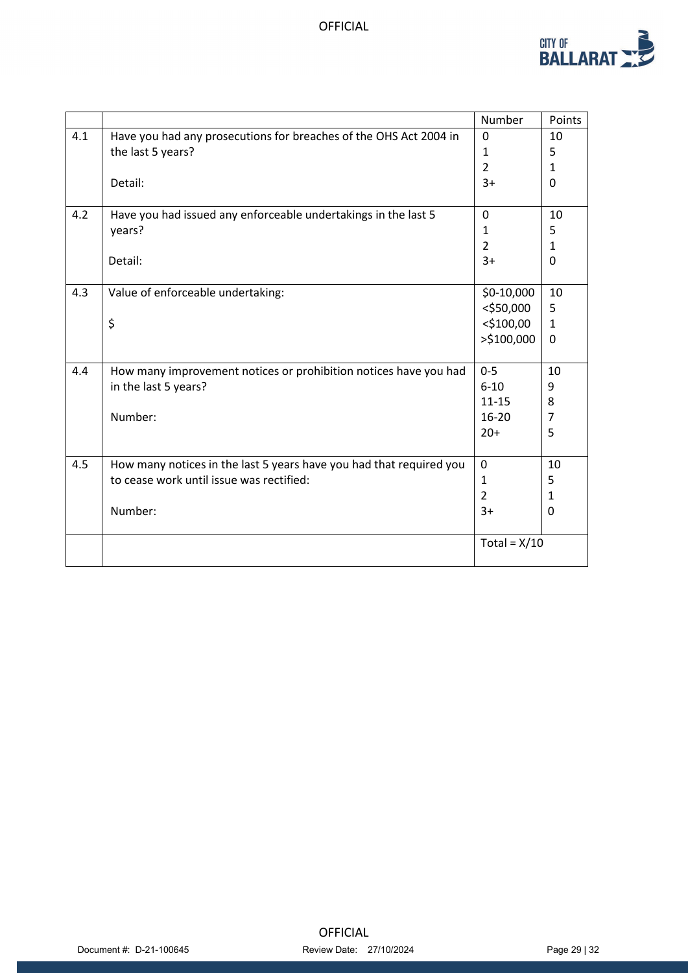

|     |                                                                     | Number         | Points         |
|-----|---------------------------------------------------------------------|----------------|----------------|
| 4.1 | Have you had any prosecutions for breaches of the OHS Act 2004 in   | $\mathbf{0}$   | 10             |
|     | the last 5 years?                                                   | 1              | 5              |
|     |                                                                     | $\overline{2}$ | $\mathbf{1}$   |
|     | Detail:                                                             | $3+$           | 0              |
|     |                                                                     |                |                |
| 4.2 | Have you had issued any enforceable undertakings in the last 5      | $\Omega$       | 10             |
|     | years?                                                              | 1              | 5              |
|     |                                                                     | $\overline{2}$ | $\mathbf{1}$   |
|     | Detail:                                                             | $3+$           | 0              |
|     |                                                                     |                |                |
| 4.3 | Value of enforceable undertaking:                                   | $$0-10,000$    | 10             |
|     |                                                                     | $<$ \$50,000   | 5              |
|     | \$                                                                  | $<$ \$100,00   | $\mathbf{1}$   |
|     |                                                                     | >\$100,000     | $\mathbf{0}$   |
|     |                                                                     |                |                |
| 4.4 | How many improvement notices or prohibition notices have you had    | $0 - 5$        | 10             |
|     | in the last 5 years?                                                | $6 - 10$       | 9              |
|     |                                                                     | $11 - 15$      | 8              |
|     | Number:                                                             | 16-20          | $\overline{7}$ |
|     |                                                                     | $20+$          | 5              |
|     |                                                                     |                |                |
| 4.5 | How many notices in the last 5 years have you had that required you | $\mathbf 0$    | 10             |
|     | to cease work until issue was rectified:                            | $\mathbf{1}$   | 5              |
|     |                                                                     | $\overline{2}$ | 1              |
|     | Number:                                                             | $3+$           | 0              |
|     |                                                                     |                |                |
|     |                                                                     | Total = $X/10$ |                |
|     |                                                                     |                |                |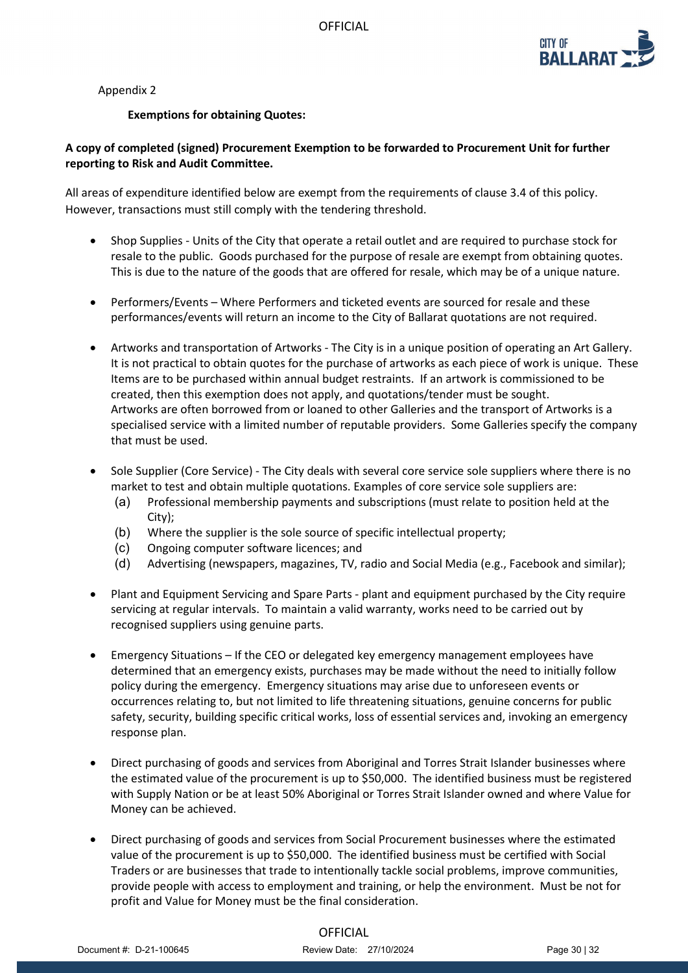

Appendix 2

### **Exemptions for obtaining Quotes:**

## **A copy of completed (signed) Procurement Exemption to be forwarded to Procurement Unit for further reporting to Risk and Audit Committee.**

All areas of expenditure identified below are exempt from the requirements of clause 3.4 of this policy. However, transactions must still comply with the tendering threshold.

- Shop Supplies Units of the City that operate a retail outlet and are required to purchase stock for resale to the public. Goods purchased for the purpose of resale are exempt from obtaining quotes. This is due to the nature of the goods that are offered for resale, which may be of a unique nature.
- Performers/Events Where Performers and ticketed events are sourced for resale and these performances/events will return an income to the City of Ballarat quotations are not required.
- Artworks and transportation of Artworks The City is in a unique position of operating an Art Gallery. It is not practical to obtain quotes for the purchase of artworks as each piece of work is unique. These Items are to be purchased within annual budget restraints. If an artwork is commissioned to be created, then this exemption does not apply, and quotations/tender must be sought. Artworks are often borrowed from or loaned to other Galleries and the transport of Artworks is a specialised service with a limited number of reputable providers. Some Galleries specify the company that must be used.
- Sole Supplier (Core Service) The City deals with several core service sole suppliers where there is no market to test and obtain multiple quotations. Examples of core service sole suppliers are:
	- (a) Professional membership payments and subscriptions (must relate to position held at the City);
	- (b) Where the supplier is the sole source of specific intellectual property;
	- (c) Ongoing computer software licences; and
	- (d) Advertising (newspapers, magazines, TV, radio and Social Media (e.g., Facebook and similar);
- Plant and Equipment Servicing and Spare Parts plant and equipment purchased by the City require servicing at regular intervals. To maintain a valid warranty, works need to be carried out by recognised suppliers using genuine parts.
- Emergency Situations If the CEO or delegated key emergency management employees have determined that an emergency exists, purchases may be made without the need to initially follow policy during the emergency. Emergency situations may arise due to unforeseen events or occurrences relating to, but not limited to life threatening situations, genuine concerns for public safety, security, building specific critical works, loss of essential services and, invoking an emergency response plan.
- Direct purchasing of goods and services from Aboriginal and Torres Strait Islander businesses where the estimated value of the procurement is up to \$50,000. The identified business must be registered with Supply Nation or be at least 50% Aboriginal or Torres Strait Islander owned and where Value for Money can be achieved.
- Direct purchasing of goods and services from Social Procurement businesses where the estimated value of the procurement is up to \$50,000. The identified business must be certified with Social Traders or are businesses that trade to intentionally tackle social problems, improve communities, provide people with access to employment and training, or help the environment. Must be not for profit and Value for Money must be the final consideration.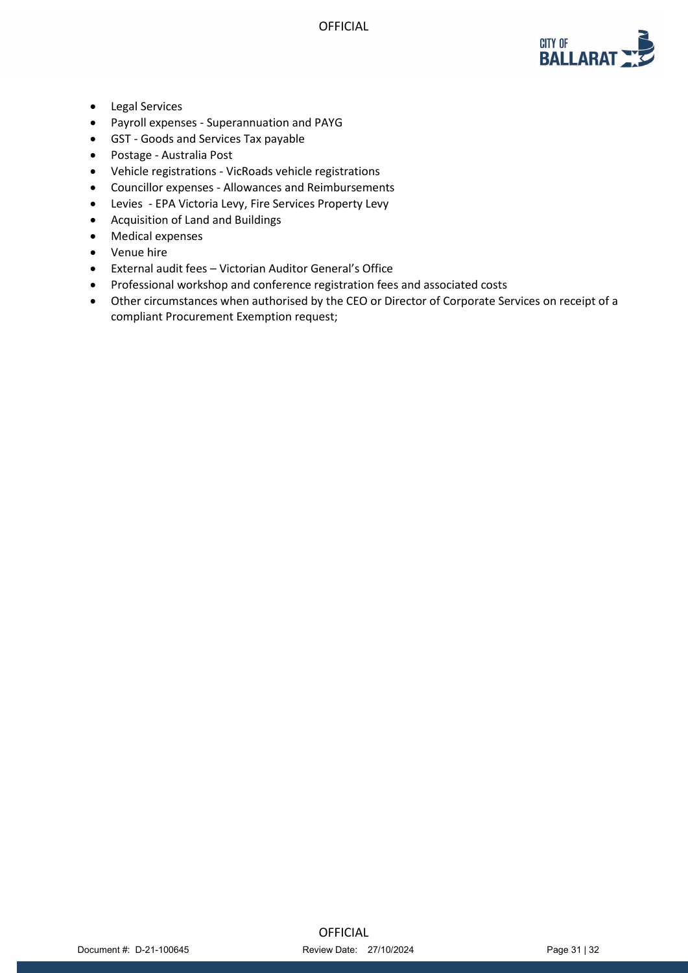

- Legal Services
- Payroll expenses Superannuation and PAYG
- GST Goods and Services Tax payable
- Postage Australia Post
- Vehicle registrations VicRoads vehicle registrations
- Councillor expenses Allowances and Reimbursements
- Levies EPA Victoria Levy, Fire Services Property Levy
- Acquisition of Land and Buildings
- Medical expenses
- Venue hire
- External audit fees Victorian Auditor General's Office
- Professional workshop and conference registration fees and associated costs
- Other circumstances when authorised by the CEO or Director of Corporate Services on receipt of a compliant Procurement Exemption request;